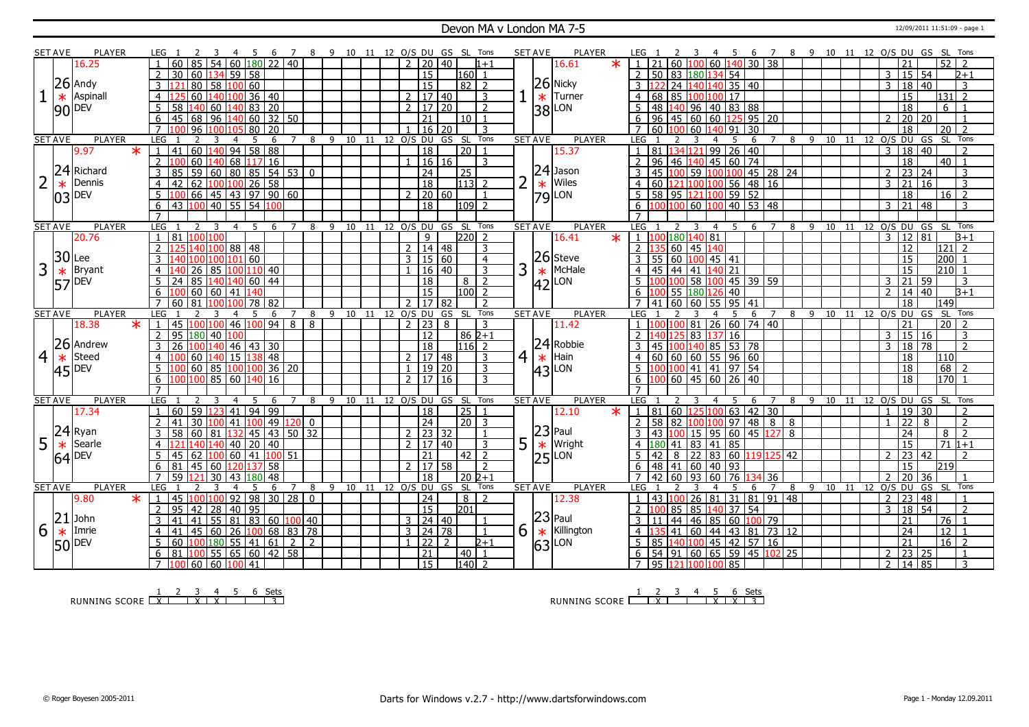### Devon MA v London MA 7-5 12/09/2011 11:51:09 - page 1

|                | <b>SET AVE</b>                                   | <b>PLAYER</b>   |                                   |                                     |                                               | 7              | -9     |    |    |    |                                    |                | 10 11 12 O/S DU GS SL Tons |                | <b>SET AVE</b> | <b>PLAYER</b>                                          |        |                                                      |            |                                                                    | 6                   | $\overline{7}$<br>8 | - 9            |    |    |                 |                |                                    | 10 11 12 O/S DU GS SL Tons |                          |
|----------------|--------------------------------------------------|-----------------|-----------------------------------|-------------------------------------|-----------------------------------------------|----------------|--------|----|----|----|------------------------------------|----------------|----------------------------|----------------|----------------|--------------------------------------------------------|--------|------------------------------------------------------|------------|--------------------------------------------------------------------|---------------------|---------------------|----------------|----|----|-----------------|----------------|------------------------------------|----------------------------|--------------------------|
|                |                                                  | 16.25           |                                   | 54                                  | $60$ 180 22 40                                |                |        |    |    |    | $\mathcal{P}$<br>20                | 40             | $1 + 1$                    |                |                | 16.61                                                  |        |                                                      |            | 60 140                                                             | $30 \overline{)38}$ |                     |                |    |    |                 |                |                                    |                            | $\overline{52}$   2      |
|                |                                                  |                 | 2<br>30                           | 60                                  | $134$ 59 58                                   |                |        |    |    |    | $\overline{15}$                    |                | 160 <br>$\overline{1}$     |                |                |                                                        |        | 50 83 180 134 54<br>$\overline{2}$                   |            |                                                                    |                     |                     |                |    |    |                 | 3              | 15 54                              |                            | $2 + 1$                  |
|                |                                                  | $26$ Andy       | 3                                 | $\overline{58}$<br>80               | 100 60                                        |                |        |    |    |    | 15                                 |                | $82$   2                   |                |                | $26$ Nicky                                             |        | 3                                                    |            | 24 140 140 35 40                                                   |                     |                     |                |    |    |                 | 3              | 18                                 | $\overline{40}$            | $\mathbf{3}$             |
| 1              | $\ast$                                           | Aspinall        | $\overline{4}$                    | 60<br>140                           | 36 40<br>.00 <sub>1</sub>                     |                |        |    |    |    | 2   17   40                        |                | $\overline{3}$             |                | $\ast$         | Turner                                                 |        | $\overline{4}$<br>68                                 |            | 85 100 100 17                                                      |                     |                     |                |    |    |                 |                | $\overline{15}$                    |                            | $131$ 2                  |
|                |                                                  |                 | 5<br>58                           | 140<br>60                           | 140 83 20                                     |                |        |    |    |    | 2   17   20                        |                | $\overline{2}$             |                |                | LON                                                    |        | 48 140 96 40 83 88<br>5                              |            |                                                                    |                     |                     |                |    |    |                 |                | 18                                 |                            | $6 \mid 1$               |
|                |                                                  | $90$ DEV        | 6<br>45                           | 68<br>$\overline{96}$               | 140 60 32 50                                  |                |        |    |    |    | 21                                 |                | 10 1                       |                | 38             |                                                        |        | $\overline{96}$<br>6                                 |            | $\boxed{45}$ 60 60 125 95 20                                       |                     |                     |                |    |    |                 | $\mathcal{L}$  | 20 20                              |                            |                          |
|                |                                                  |                 | $\overline{7}$                    | 96                                  | 80 20                                         |                |        |    |    |    | 16                                 | l 20           | $\overline{3}$             |                |                |                                                        |        | 60<br>$\overline{7}$<br>1 በበ                         |            | 60 140 91 30                                                       |                     |                     |                |    |    |                 |                | 18                                 |                            | $\boxed{20}$ $\boxed{2}$ |
|                | <b>SET AVE</b>                                   | <b>PLAYER</b>   | <b>LEG</b>                        |                                     | 5<br>6                                        |                | 8      |    |    |    | 9 10 11 12 O/S DU                  |                | GS SL Tons                 |                | <b>SET AVE</b> | <b>PLAYER</b>                                          |        | LEG                                                  |            |                                                                    | 6                   | 8                   | $\overline{9}$ |    |    | 10 11 12 O/S DU |                |                                    | GS                         | SL Tons                  |
|                |                                                  | 9.97<br>$\ast$  | $\mathbf{1}$<br>41                | 60<br> 40                           | $94$ 58 88                                    |                |        |    |    |    | $\overline{18}$                    |                | $\overline{20}$            |                |                | 15.37                                                  |        | 81                                                   |            | 134 121 99 26 40                                                   |                     |                     |                |    |    |                 | 3              | 18                                 | $\overline{40}$            |                          |
|                |                                                  |                 | 2                                 | 60<br>40                            | 68 117 16                                     |                |        |    |    |    |                                    | 16 16          | 3                          |                |                |                                                        |        | 96                                                   |            | 46 140 45 60 74                                                    |                     |                     |                |    |    |                 |                | 18                                 | 40                         |                          |
|                | 24                                               | Richard         |                                   | $\overline{59}$                     | 60   80   85   54   53   0                    |                |        |    |    |    |                                    |                |                            |                |                | $24$ Jason                                             |        | 45<br>3<br>1 በበ                                      |            | 59 100 100                                                         |                     |                     |                |    |    |                 |                | $\overline{23}$                    |                            | 3                        |
|                |                                                  |                 |                                   | 100                                 | 100                                           |                |        |    |    |    | $\overline{24}$<br>$\overline{18}$ |                | 25<br>$113$ 2              | $\overline{2}$ |                | Wiles                                                  |        |                                                      |            |                                                                    |                     | $145$ 28 24         |                |    |    |                 |                |                                    | 24<br>l 16                 |                          |
| 2              | $\ast$                                           | Dennis          | 4<br>42                           | 62                                  | 26 58                                         |                |        |    |    |    |                                    |                |                            |                | $\ast$         |                                                        |        | 60<br>$\overline{4}$                                 |            | 121 100 100 56 48 16                                               |                     |                     |                |    |    |                 | 3              | 21                                 |                            | 3<br>$16 \mid 2$         |
|                | 03                                               | <b>DEV</b>      | 5 <sup>5</sup>                    | 66<br>100                           | 45 43 97 90 60<br>40 55 54 100                |                |        |    |    |    | $2 \mid 20 \mid 60$                |                | $\overline{1}$             |                |                | 79LON                                                  |        | 58 95 121 100 59 52<br>5                             |            |                                                                    |                     |                     |                |    |    |                 | $\mathbf{R}$   | $\overline{18}$<br>$\overline{21}$ |                            |                          |
|                |                                                  |                 | 6<br>43<br>$\overline{7}$         |                                     |                                               |                |        |    |    |    | $\overline{18}$                    |                | $109$ 2                    |                |                |                                                        |        | 6<br><b>IOO</b>                                      |            | $100 \ 60 \ 100 \ 40 \ 53 \ 48$                                    |                     |                     |                |    |    |                 |                |                                    | $\overline{48}$            | $\mathcal{R}$            |
|                | <b>SET AVE</b>                                   | <b>PLAYER</b>   | LEG                               |                                     | 6<br>.5                                       | $\overline{7}$ | 8<br>9 | 10 |    |    | 11 12 O/S DU GS                    |                | SL<br>Tons                 |                | <b>SET AVE</b> | <b>PLAYER</b>                                          |        |                                                      |            | $\overline{4}$<br>5.                                               |                     | 8<br>$\overline{7}$ | 9              | 10 |    | 11 12 0/S DU GS |                |                                    | -SL                        | Tons                     |
|                |                                                  | 20.76           | 81<br>$\overline{1}$              | 100<br>100                          |                                               |                |        |    |    |    | 9                                  |                | $220$ 2                    |                |                | 16.41                                                  | $\ast$ | LEG.<br>1 <sup>1</sup><br>100                        | 180 140 81 |                                                                    | 6                   |                     |                |    |    |                 |                | $3 \mid 12 \mid 81$                |                            | $\overline{B+1}$         |
|                |                                                  |                 | $\overline{2}$<br>125             | 140<br>100                          | 88 48                                         |                |        |    |    |    | $2 \mid 14 \mid 48$                |                | 3                          |                |                |                                                        |        | $2^{\circ}$<br>135                                   | 60 45 140  |                                                                    |                     |                     |                |    |    |                 |                | 12                                 |                            | $121$ 2                  |
|                | $30$ Lee                                         |                 | 3                                 |                                     | 60<br>101                                     |                |        |    |    |    | $3 \mid 15 \mid 60$                |                | $\overline{4}$             |                |                |                                                        |        | 55   60   100   45   41                              |            |                                                                    |                     |                     |                |    |    |                 |                | 15                                 |                            | $200$ 1                  |
| 3              |                                                  |                 |                                   | 85                                  | ۱M                                            |                |        |    |    |    |                                    |                | $\overline{3}$             | 3              |                | McHale                                                 |        |                                                      |            |                                                                    |                     |                     |                |    |    |                 |                |                                    |                            |                          |
|                |                                                  | <b>Bryant</b>   | $\overline{4}$                    | 26.                                 | 110 40                                        |                |        |    |    |    |                                    | 16 40          |                            |                |                |                                                        |        | 45<br>$\overline{4}$                                 |            | 44 41 140 21                                                       |                     |                     |                |    |    |                 |                | 15                                 |                            | $210$ 1                  |
|                | $\frac{*}{57}$ Brya                              |                 | 24                                | 85<br>140                           | 60   44<br><b>140</b>                         |                |        |    |    |    | 18                                 |                | $\overline{2}$<br>8        |                |                | $\begin{array}{c} 26 \\ \ast \\ 42 \end{array}$ McHale |        |                                                      |            | <mark>100</mark> 58 <mark>100</mark> 45 39 59                      |                     |                     |                |    |    |                 | 3              | 21 59                              |                            | 3                        |
|                |                                                  |                 | 6                                 | 60<br>60   41                       | 40                                            |                |        |    |    |    | 15                                 |                | 100 l<br>$\overline{2}$    |                |                |                                                        |        | 6<br>00                                              |            | 55 180 126 40                                                      |                     |                     |                |    |    |                 | $\overline{2}$ | 14                                 | 40                         | $\overline{B+1}$         |
|                |                                                  |                 | $\overline{7}$<br>60              | R1                                  | 78<br>82<br>חחו                               |                |        |    |    |    | $\overline{2}$                     | 17 82          | $\overline{z}$             |                |                |                                                        |        | 41                                                   |            | 60 60 55 95 41                                                     |                     |                     |                |    |    |                 |                | 18                                 | 149                        |                          |
|                |                                                  |                 |                                   |                                     |                                               |                |        |    |    |    |                                    |                |                            |                |                |                                                        |        |                                                      |            |                                                                    |                     |                     |                |    |    |                 |                |                                    |                            |                          |
|                | <b>SET AVE</b>                                   | <b>PLAYER</b>   | LEG                               |                                     | 6                                             |                | 9<br>8 | 10 | 11 | 12 | O/S DU                             | GS             | Tons<br>- SL               | <b>SET AVE</b> |                | <b>PLAYER</b>                                          |        | LEG.                                                 |            |                                                                    | 6                   | 8                   | -9             | 10 | 11 | $12$ O/S        |                | DU                                 | GS                         | SL Tons                  |
|                |                                                  | 18.38<br>$\ast$ | 45                                | nn                                  | 46<br>100 94                                  | 8              | 8      |    |    |    | 2 23                               | 8              | 3                          |                |                | 11.42                                                  |        |                                                      |            | 81 26 60 74 40                                                     |                     |                     |                |    |    |                 |                | 21                                 |                            | $20 \mid 2$              |
|                |                                                  |                 | $\overline{2}$<br>95              | 180<br>40 <sup>1</sup>              | 100                                           |                |        |    |    |    | $\overline{12}$                    |                | $862+1$                    |                |                |                                                        |        | $\mathcal{L}$<br>l40 125 83 137 16                   |            |                                                                    |                     |                     |                |    |    |                 | 3              | $\sqrt{15}$ 16                     |                            | $\mathcal{R}$            |
|                |                                                  | 26 Andrew       | 26<br>3                           | 140<br>1 በበ                         | $46$ 43 30                                    |                |        |    |    |    | 18                                 |                | 116 2                      |                |                | $ 24 $ Robbie                                          |        | 45 100 140 85 53 78<br>3                             |            |                                                                    |                     |                     |                |    |    |                 | 3              | 18 78                              |                            | $\overline{2}$           |
| $\overline{4}$ | $\ast$                                           | Steed           | $\overline{4}$                    | 60<br>140                           | 15 138 48                                     |                |        |    |    |    | 2   17   48                        |                | 3                          | $\overline{4}$ | $\ast$         | Hain                                                   |        | $\overline{4}$<br>60   60   60   55   96   60        |            |                                                                    |                     |                     |                |    |    |                 |                | 18                                 | 110                        |                          |
|                |                                                  |                 | 5                                 | 60<br>85 100                        | ۱M)                                           | 36 20          |        |    |    |    | 1   19   20                        |                | 3                          |                | 43             | LON                                                    |        | 5<br>100                                             |            | 100 41 41 97 54                                                    |                     |                     |                |    |    |                 |                | 18                                 |                            | $68$   2                 |
|                | $ 45 $ <sup>DEV</sup>                            |                 | 6<br>100                          | 100 <sub>1</sub>                    | 85   60   <mark>140</mark>   16               |                |        |    |    |    | 2   17   16                        |                | $\overline{\mathbf{3}}$    |                |                |                                                        |        | 100 60 45 60 26 40<br>6                              |            |                                                                    |                     |                     |                |    |    |                 |                | 18                                 |                            | $170$ 1                  |
|                |                                                  |                 |                                   |                                     |                                               |                |        |    |    |    |                                    |                |                            |                |                |                                                        |        |                                                      |            |                                                                    |                     |                     |                |    |    |                 |                |                                    |                            |                          |
|                | <b>SET AVE</b>                                   | <b>PLAYER</b>   | <b>LEG</b>                        |                                     | 6                                             |                | 8      |    |    |    | 9 10 11 12 O/S DU                  | GS SL          | Tons                       |                | <b>SET AVE</b> | <b>PLAYER</b>                                          |        | <b>LEG</b>                                           |            |                                                                    |                     | 8                   | -9             | 10 | 11 | 12 O/S DU       |                |                                    | GS                         | SL Tons                  |
|                |                                                  | 17.34           | $\mathbf{1}$<br>60                | $\overline{59}$                     | 11   94   99                                  |                |        |    |    |    | 18                                 |                | 25                         |                |                | 12.10                                                  | $\ast$ | 81<br>$\mathbf{1}$                                   | 60 125 100 |                                                                    | $63$ 42 30          |                     |                |    |    |                 | 1              | 19 30                              |                            | $\overline{2}$           |
|                |                                                  |                 | $\overline{2}$<br>41              | 30<br>۱M                            | $41 \,  100  \, 49 \,  120  \, 0$             |                |        |    |    |    | 24                                 |                | $\vert 20 \vert 3$         |                |                |                                                        |        | $\mathfrak{p}$<br>58                                 |            | 82 100 100 97 48 8                                                 |                     | 8                   |                |    |    |                 | $\mathbf{1}$   | $ 22\rangle$                       | 8                          | $\overline{2}$           |
|                |                                                  | Ryan            | 3<br>58                           | 60<br>81                            | 45 43 50 32                                   |                |        |    |    |    | $\overline{2}$                     | 23 32          |                            |                |                | Paul                                                   |        | 43                                                   |            | 15 95 60 45 127                                                    |                     | 8                   |                |    |    |                 |                | 24                                 | 8                          | $\overline{2}$           |
| 5              |                                                  | Searle          | 4                                 | 40<br>40                            | 20 40<br>40                                   |                |        |    |    |    | 2   17   40                        |                | 3                          | 5              | $\frac{23}{1}$ | Wright                                                 |        | 180<br>4                                             |            | 41 83 41 85                                                        |                     |                     |                |    |    |                 |                | 15                                 |                            | $71 1+1$                 |
|                |                                                  |                 | 5<br>45                           | 62<br>100.                          | $60$   41   100   51                          |                |        |    |    |    | 21                                 |                | $42$   2                   |                |                | LON                                                    |        | 5<br>42<br>8                                         |            | $\left  22 \right  83 \left  60 \right  119 \left  125 \right  42$ |                     |                     |                |    |    |                 | $\mathcal{P}$  | $ 23\rangle$                       | 42                         |                          |
|                | $\frac{24}{\text{ }}\text{Rya}}_{64}\text{Sear}$ |                 | 6<br>81                           | 45<br>60                            | 120 137 58                                    |                |        |    |    |    | 2   17   58                        |                | $\overline{2}$             |                | 25             |                                                        |        | 48 41 60 40 93<br>6                                  |            |                                                                    |                     |                     |                |    |    |                 |                | 15                                 | 219                        |                          |
|                |                                                  |                 | $\overline{7}$<br>59              | 121<br>30 <sup>1</sup>              | 43 180 48                                     |                |        |    |    |    | $\overline{18}$                    |                | l 20 l2+1                  |                |                |                                                        |        | $\overline{7}$<br>42 60 93 60 76 1                   |            |                                                                    | 134 36              |                     |                |    |    |                 | $\overline{2}$ | 20                                 | 36                         |                          |
|                | <b>SET AVE</b>                                   | <b>PLAYER</b>   | <b>LEG</b>                        |                                     | 6                                             | $7^{\circ}$    | 8      |    |    |    | 9 10 11 12 0/S DU GS               |                | SL<br>Tons                 |                | <b>SET AVE</b> | <b>PLAYER</b>                                          |        | LEG                                                  |            | -5                                                                 | 6                   | 8<br>7              | 9 10           |    |    | 11 12 0/S DU    |                |                                    | GS SL                      | Tons                     |
|                |                                                  | 9.80<br>$\star$ | $\overline{45}$<br>$\overline{1}$ | 100<br>۱M                           | 92   98   30   28   0                         |                |        |    |    |    | $\overline{24}$                    |                | $\overline{z}$<br>8        |                |                | 12.38                                                  |        | 43 100 26<br>$\mathbf{1}$                            |            | 81 31 81 91 48                                                     |                     |                     |                |    |    |                 | 2              | $\overline{23}$                    | $\sqrt{48}$                |                          |
|                |                                                  |                 | 2<br>95                           | 42<br>28                            | 40<br>95                                      |                |        |    |    |    | $\overline{15}$                    |                | 201                        |                |                |                                                        |        |                                                      |            | 85 85 140 37 54                                                    |                     |                     |                |    |    |                 | 3              | 18 54                              |                            | $\overline{2}$           |
|                |                                                  | $21$ John       | $\overline{3}$<br>41              | 41                                  | $55 \mid 81 \mid 83 \mid 60 \mid 100 \mid 40$ |                |        |    |    |    | $3 \mid 24 \mid 40$                |                | $\overline{1}$             |                |                | $ 23 $ Paul                                            |        | 3<br>11                                              |            | 44 46 85 60 100 79                                                 |                     |                     |                |    |    |                 |                | 21                                 |                            | $76$   1                 |
| 6              | $\ast$                                           | Imrie           | $\overline{4}$<br>41              | 45<br>60                            | 26<br>100                                     | 68 83 78       |        |    |    |    | $3 \mid 24 \mid 78$                |                | $\mathbf{1}$               | 6              |                | Killington                                             |        | $\overline{4}$                                       |            | 41 60 44 43 81 73 12                                               |                     |                     |                |    |    |                 |                | $\overline{24}$                    |                            | $12$   1                 |
|                |                                                  |                 | 60                                | 180<br>100                          | 55   41   61   2   2                          |                |        |    |    |    | $1 \vert 22 \vert$                 | $\overline{2}$ | $2+1$                      |                |                | LON                                                    |        | 5<br>85                                              |            | 140 100 45 42 57 16                                                |                     |                     |                |    |    |                 |                | 21                                 |                            | $16 \mid 2$              |
|                | 50 DEV                                           |                 | 6<br>81<br>$7^{\circ}$            | 100<br>$ 100 $ 60 $ $ 60 $ 100 $ 41 | 55   65   60   42   58                        |                |        |    |    |    | $\overline{21}$<br>15              |                | 40<br>$\overline{140}$ 2   |                | $\vert_{63}$   |                                                        |        | 54 91 60 65 59 45 102 25<br>6<br>7 95 121 100 100 85 |            |                                                                    |                     |                     |                |    |    |                 | 2<br>2         | 23 25<br>14 85                     |                            | $\overline{3}$           |

RUNNING SCORE <u>| X | X | X | X | | | 3</u><br>RUNNING SCORE <u>| X | X | X | | | | 3</u>

RUNNING SCORE <u>| X | X | X | X | 3</u><br>| X | X | X | X | 3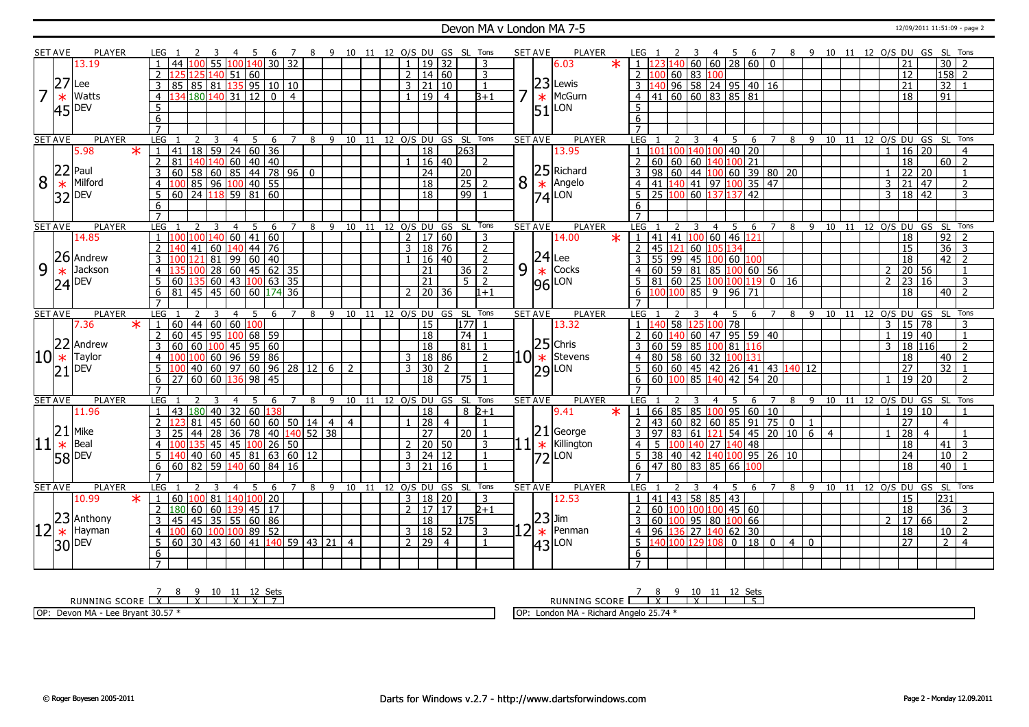#### Devon MA v London MA 7-5 12/09/2011 11:51:09 - page 2

|    | <b>SET AVE</b>      | <b>PLAYER</b>                                            | LEG 1               |                         |                               |                                |                | - 5 | - 6             |   | $\overline{7}$ |                    |                          |                |                 |                |                 |                     | 8 9 10 11 12 O/S DU GS SL Tons   |                |   | <b>SET AVE</b> | <b>PLAYER</b>                                     | LEG <sub>1</sub>    |                 |                 | 3              |                          | 4<br>- 5       |             |                 | 6 7                             |                                               |                | 8 9 10 11 12 O/S DU GS SL Tons |    |                    |                |                 |                 |                 |                |                |
|----|---------------------|----------------------------------------------------------|---------------------|-------------------------|-------------------------------|--------------------------------|----------------|-----|-----------------|---|----------------|--------------------|--------------------------|----------------|-----------------|----------------|-----------------|---------------------|----------------------------------|----------------|---|----------------|---------------------------------------------------|---------------------|-----------------|-----------------|----------------|--------------------------|----------------|-------------|-----------------|---------------------------------|-----------------------------------------------|----------------|--------------------------------|----|--------------------|----------------|-----------------|-----------------|-----------------|----------------|----------------|
|    |                     | 13.19                                                    |                     | 44                      | n                             | 55 100 140 30 32               |                |     |                 |   |                |                    |                          |                |                 |                |                 | 19 32               |                                  | 3              |   |                | $\ast$<br>6.03                                    | ∙ĵ.                 |                 |                 |                | 140 60 60 28 60 0        |                |             |                 |                                 |                                               |                |                                |    |                    |                | 21              |                 | 30              |                |                |
|    |                     |                                                          | $\overline{2}$      |                         | <b>251</b>                    | 140 51 60                      |                |     |                 |   |                |                    |                          |                |                 | $\overline{2}$ |                 | 14 60               |                                  | $\overline{3}$ |   |                |                                                   | $\overline{2}$      |                 |                 |                | 60 83 100                |                |             |                 |                                 |                                               |                |                                |    |                    |                | 12              |                 | 158             |                | $\mathcal{D}$  |
|    | 27                  | Lee                                                      | $\overline{3}$      | 85                      | 85 81 135 95 10 10            |                                |                |     |                 |   |                |                    |                          |                |                 | $\overline{3}$ |                 | 21 10               |                                  | $\overline{1}$ |   |                | $23$ Lewis                                        | 3                   |                 |                 |                | $96$ 58 24 95 40 16      |                |             |                 |                                 |                                               |                |                                |    |                    |                | 21              |                 | 32              |                |                |
| 7  | $\ast$              | Watts                                                    | $\overline{4}$      | 134 180 140 31   12   0 |                               |                                |                |     |                 |   | $\overline{4}$ |                    |                          |                |                 | $\mathbf{1}$   |                 | 19 4                |                                  | $3+1$          |   | $\ast$         | McGurn                                            | $\overline{4}$      |                 |                 |                | $141$ 60 60 83 85 81     |                |             |                 |                                 |                                               |                |                                |    |                    |                | 18              |                 | $\overline{91}$ |                |                |
|    |                     | <b>DEV</b>                                               | $\overline{5}$      |                         |                               |                                |                |     |                 |   |                |                    |                          |                |                 |                |                 |                     |                                  |                |   |                | LON                                               | 5                   |                 |                 |                |                          |                |             |                 |                                 |                                               |                |                                |    |                    |                |                 |                 |                 |                |                |
|    | 45                  |                                                          | 6                   |                         |                               |                                |                |     |                 |   |                |                    |                          |                |                 |                |                 |                     |                                  |                |   | 51             |                                                   | 6                   |                 |                 |                |                          |                |             |                 |                                 |                                               |                |                                |    |                    |                |                 |                 |                 |                |                |
|    |                     |                                                          | $\overline{7}$      |                         |                               |                                |                |     |                 |   |                |                    |                          |                |                 |                |                 |                     |                                  |                |   |                |                                                   |                     |                 |                 |                |                          |                |             |                 |                                 |                                               |                |                                |    |                    |                |                 |                 |                 |                |                |
|    | <b>SET AVE</b>      | <b>PLAYER</b>                                            | LEG                 |                         | 2                             | 3                              | $\overline{4}$ | - 5 | - 6             |   |                |                    |                          |                |                 |                |                 |                     | 7 8 9 10 11 12 0/S DU GS SL Tons |                |   | <b>SET AVE</b> | <b>PLAYER</b>                                     | LEG                 |                 |                 | $\overline{3}$ | $\overline{4}$           |                | 5           | 6               | $\overline{7}$                  |                                               |                | 8 9 10 11 12 0/S DU GS SL Tons |    |                    |                |                 |                 |                 |                |                |
|    |                     | 5.98<br>$\ast$                                           |                     | 41                      | 18 59 24 60 36                |                                |                |     |                 |   |                |                    |                          |                |                 |                | $\overline{18}$ |                     | 263                              |                |   |                | 13.95                                             |                     |                 |                 |                | $140$ 100 40 20          |                |             |                 |                                 |                                               |                |                                |    |                    | $\overline{1}$ | 16              | $\overline{20}$ |                 |                | $\overline{4}$ |
|    |                     |                                                          | $\overline{2}$      | 81                      | 40                            | 140                            |                |     | 60 40 40        |   |                |                    |                          |                |                 |                | 16              | l 40                |                                  | $\mathcal{L}$  |   |                |                                                   |                     | 60              | 60              | 60             |                          |                | 40 100 21   |                 |                                 |                                               |                |                                |    |                    |                | $\overline{18}$ |                 | 60              |                | $\overline{2}$ |
|    |                     | $22$ Paul                                                | $\overline{3}$      | 60                      | 58 60 85 44 78 96             |                                |                |     |                 |   |                | $\overline{0}$     |                          |                |                 |                | $\overline{24}$ |                     | $ 20\rangle$                     |                |   |                | $25$ Richard                                      | 3                   | 98              | 60              |                |                          |                |             |                 | 44 100 60 39 80 20              |                                               |                |                                |    |                    | $\mathbf{1}$   | $\overline{22}$ | 20              |                 |                | $\mathbf{1}$   |
| 8  |                     | Milford                                                  | 4                   | 100                     | 85 96 100 40 55               |                                |                |     |                 |   |                |                    |                          |                |                 |                | $\overline{18}$ |                     | $\overline{25}$                  | $\mathcal{P}$  | 8 | $\ast$         | Angelo                                            | $\overline{4}$      | 41 1            |                 |                | 140 41 97 100            |                |             | $\overline{35}$ | $\overline{47}$                 |                                               |                |                                |    |                    | $\overline{3}$ | $\overline{21}$ | $\overline{47}$ |                 |                | 2              |
|    | $\ast$              | <b>DEV</b>                                               | 5 <sup>1</sup>      | 60 24 118 59 81 60      |                               |                                |                |     |                 |   |                |                    |                          |                |                 |                | $\overline{18}$ |                     | 99                               | $\overline{1}$ |   |                |                                                   | -5                  |                 |                 |                | 25 100 60 137 137 42     |                |             |                 |                                 |                                               |                |                                |    |                    | $\mathcal{E}$  | $18 \mid 42$    |                 |                 |                | $\mathbf{3}$   |
|    | 321                 |                                                          | 6                   |                         |                               |                                |                |     |                 |   |                |                    |                          |                |                 |                |                 |                     |                                  |                |   |                | $ 74 $ LON                                        | 6                   |                 |                 |                |                          |                |             |                 |                                 |                                               |                |                                |    |                    |                |                 |                 |                 |                |                |
|    |                     |                                                          | $\overline{7}$      |                         |                               |                                |                |     |                 |   |                |                    |                          |                |                 |                |                 |                     |                                  |                |   |                |                                                   |                     |                 |                 |                |                          |                |             |                 |                                 |                                               |                |                                |    |                    |                |                 |                 |                 |                |                |
|    | <b>SET AVE</b>      | <b>PLAYER</b>                                            | LEG                 |                         |                               |                                | $\overline{4}$ | 5   | 6               |   | $7^{\circ}$    | 8                  | 9                        |                | $10 \quad 11$   |                |                 |                     | 12 0/S DU GS SL                  | Tons           |   | <b>SET AVE</b> | <b>PLAYER</b>                                     | LEG                 |                 |                 |                |                          | $\overline{4}$ | 5           | 6               | 7 8                             |                                               | $\overline{9}$ | 10                             |    | 11 12 0/S DU GS SL |                |                 |                 |                 | Tons           |                |
|    |                     | 14.85                                                    | $\cdot$ i $\cdot$   |                         | ۱M                            | 140                            |                |     | 60  41  60      |   |                |                    |                          |                |                 |                |                 | $2 \mid 17 \mid 60$ |                                  | 3              |   |                | $\ast$<br>14.00                                   | l 1                 |                 | 41 41 100       |                |                          |                | 60 46 121   |                 |                                 |                                               |                |                                |    |                    |                | 18              |                 | 92              | $\overline{2}$ |                |
|    |                     |                                                          | 2                   | 40                      | 41                            | 60 140 44 76                   |                |     |                 |   |                |                    |                          |                |                 | $\overline{3}$ |                 | 18 76               |                                  | $\overline{2}$ |   |                |                                                   | $\overline{2}$      | 45              | 121             |                | 60 105 134               |                |             |                 |                                 |                                               |                |                                |    |                    |                | 15              |                 | $\overline{36}$ | $\overline{3}$ |                |
|    |                     | 26 Andrew                                                | $\overline{3}$      |                         |                               | 81   99   60   40              |                |     |                 |   |                |                    |                          |                |                 |                |                 | 16 40               |                                  | $\overline{2}$ |   |                | $\begin{array}{c} 24 \\ * \\ 96 \end{array}$ Cock |                     | 55              | $\overline{99}$ |                |                          |                |             |                 |                                 |                                               |                |                                |    |                    |                |                 |                 | 42              | $\overline{2}$ |                |
| 9  |                     | Jackson                                                  |                     |                         |                               | 28                             |                |     |                 |   |                |                    |                          |                |                 |                |                 |                     |                                  | $36$   2       |   |                | Cocks                                             |                     |                 |                 |                | 45 100 60 100            |                |             |                 |                                 |                                               |                |                                |    |                    |                | 18              |                 |                 |                |                |
|    | $\frac{1}{24}$ Jack |                                                          | $\overline{4}$      |                         |                               |                                |                |     | 60 45 62 35     |   |                |                    |                          |                |                 |                | $\overline{21}$ |                     | 5 <sub>1</sub>                   |                | 9 |                |                                                   |                     | 60              |                 |                | 59 81 85 100 60 56       |                |             |                 |                                 | $\overline{16}$                               |                |                                |    |                    | $\overline{2}$ | 20 56           | $\overline{16}$ |                 |                |                |
|    |                     |                                                          | 5                   | 60                      |                               | $\mid$ 60   43   100   63   35 |                |     |                 |   |                |                    |                          |                |                 |                | 21              |                     |                                  | $\overline{z}$ |   |                |                                                   |                     | 81              | 60              | 25             |                          | 100 100        |             | 119             | $\overline{0}$                  |                                               |                |                                |    |                    | $\mathcal{P}$  | $\overline{23}$ |                 |                 |                | 3              |
|    |                     |                                                          | 6                   | 81 <sup>1</sup>         | 45 45 60 60 174 36            |                                |                |     |                 |   |                |                    |                          |                |                 | $\mathcal{P}$  |                 | 20 36               |                                  | $1 + 1$        |   |                |                                                   | 6                   |                 |                 |                | 00 100 85 9              |                | 96 71       |                 |                                 |                                               |                |                                |    |                    |                | 18              |                 |                 | $40$   2       |                |
|    |                     |                                                          |                     |                         |                               |                                |                |     |                 |   |                |                    |                          |                |                 |                |                 |                     |                                  | Tons           |   |                | <b>PLAYER</b>                                     | LEG                 |                 |                 |                |                          | 4              | 5           | 6               |                                 |                                               |                |                                |    |                    |                |                 | 12 0/S DU GS    |                 | SL Tons        |                |
|    |                     |                                                          |                     |                         |                               |                                |                |     |                 |   |                |                    |                          |                |                 |                |                 |                     |                                  |                |   |                |                                                   |                     |                 |                 |                |                          |                |             |                 |                                 |                                               |                |                                |    |                    |                |                 |                 |                 |                |                |
|    | <b>SET AVE</b>      | <b>PLAYER</b>                                            | LEG                 |                         |                               |                                |                | 5   |                 | 6 | 7              | 8                  | 9                        | 10             | 11              |                | 12 0/S DU       |                     | GS SL                            |                |   | <b>SET AVE</b> |                                                   |                     |                 |                 |                |                          |                |             |                 |                                 | 8                                             | 9              | 10                             | 11 |                    |                |                 |                 |                 |                |                |
|    |                     | $\ast$<br>7.36                                           |                     | 60                      | 44                            | 60   60   100                  |                |     |                 |   |                |                    |                          |                |                 |                | 15              |                     | 177                              |                |   |                | 13.32                                             |                     |                 | 58              |                |                          | $100$ 78       |             |                 |                                 |                                               |                |                                |    |                    | 3              | $\overline{15}$ | $\overline{78}$ |                 |                | $\overline{3}$ |
|    |                     |                                                          | $\overline{2}$      | 60                      | $45$ 95 100 68 59             |                                |                |     |                 |   |                |                    |                          |                |                 |                | 18              |                     | $\overline{74}$                  | $\mathbf{1}$   |   |                |                                                   | $\overline{z}$      | 60              |                 |                | 60 47 95 59 40           |                |             |                 |                                 |                                               |                |                                |    |                    | $\mathbf{1}$   | 19   40         |                 |                 | $\overline{1}$ |                |
|    | 22                  | Andrew                                                   | $\overline{3}$      | 60                      | 60                            | $100$ 45 95 60                 |                |     |                 |   |                |                    |                          |                |                 |                | 18              |                     | 81 1                             |                |   |                | $25$ Chris                                        | 3                   | 60              |                 |                | 59 85 100 81 116         |                |             |                 |                                 |                                               |                |                                |    |                    | $\mathbf{3}$   | 18 116          |                 |                 |                | $\overline{2}$ |
|    | $10*$               | Taylor                                                   | $\overline{4}$      |                         | ۱M                            | $60$   96   59   86            |                |     |                 |   |                |                    |                          |                |                 |                |                 | $3 \mid 18 \mid 86$ |                                  | $\overline{2}$ |   | $10 \ast $     | Stevens                                           | 4                   | 80              |                 |                | 58 60 32 100 131         |                |             |                 |                                 |                                               |                |                                |    |                    |                | 18              |                 | 40              | $\overline{2}$ |                |
|    | 21                  | <b>IDEV</b>                                              | 5                   | ۱00                     | 40 60 97 60 96 28 12          |                                |                |     |                 |   |                |                    | 6 <sup>1</sup>           | 2              |                 | $\overline{3}$ | 30              | 2                   |                                  | $\overline{1}$ |   |                | $ 29 $ LON                                        | 5                   |                 |                 |                |                          |                |             |                 |                                 | $60   60   45   42   26   41   43   140   12$ |                |                                |    |                    |                | $\overline{27}$ |                 | 32              | $\overline{1}$ |                |
|    |                     |                                                          | 6                   | 27                      | $60$ 60 136 98 45             |                                |                |     |                 |   |                |                    |                          |                |                 |                | $\overline{18}$ |                     | $\sqrt{75}$ 1                    |                |   |                |                                                   | $6\overline{6}$     |                 |                 |                | 60 100 85 140 42 54 20   |                |             |                 |                                 |                                               |                |                                |    |                    | $\overline{1}$ | $19$ 20         |                 |                 |                | $\overline{2}$ |
|    |                     |                                                          |                     |                         |                               |                                |                |     |                 |   |                |                    |                          |                |                 |                |                 |                     |                                  |                |   |                |                                                   |                     |                 |                 |                |                          |                |             |                 |                                 |                                               |                |                                |    |                    |                |                 |                 |                 |                |                |
|    | <b>SET AVE</b>      | <b>PLAYER</b>                                            | LEG                 |                         |                               |                                |                |     |                 |   |                | 8                  | $\mathsf{q}$             |                | 10 11 12 O/S DU |                |                 |                     | GS SL                            | Tons           |   | <b>SET AVE</b> | <b>PLAYER</b>                                     | LEG                 |                 |                 |                |                          |                |             |                 |                                 | 8                                             | -9             | 10                             | 11 | 12 O/S DU GS SL    | $\overline{1}$ |                 |                 |                 | Tons           |                |
|    |                     | 11.96                                                    | $\overline{1}$      | 43                      | 180                           | 40                             |                |     | 32   60   138   |   |                |                    |                          |                |                 |                | $\overline{18}$ |                     |                                  | $8\sqrt{2+1}$  |   |                | 9.41                                              | $\overline{1}$      | 66              | 85 85           |                |                          | 100 95         |             | $60$ 10         |                                 |                                               |                |                                |    |                    |                | 19 10           |                 |                 |                |                |
|    |                     |                                                          | 2                   |                         | 81                            |                                | 60             |     |                 |   |                | 60   60   50   14  | $\overline{4}$           | $\overline{4}$ |                 |                | $\overline{28}$ | $\overline{4}$      |                                  | $\mathbf{1}$   |   |                |                                                   | $\overline{2}$      | 43              |                 |                |                          |                |             |                 | 60   82   60   85   91   75   0 |                                               | $\mathbf{1}$   |                                |    |                    |                | 27              |                 | $\overline{4}$  |                |                |
|    |                     |                                                          | 3                   | 25                      | 44                            | 28                             |                |     |                 |   |                | 36 78 40 140 52 38 |                          |                |                 |                | $\overline{27}$ |                     | 20                               |                |   | 21             | George                                            | 3                   | 97              | 83              | 61             |                          | 21             | $54$ 45     |                 | 20                              | 10                                            | $6\overline{}$ | $\overline{4}$                 |    |                    |                | $\overline{28}$ | $\overline{4}$  |                 |                |                |
|    |                     | $\left  \frac{21}{11} \right _{\ast}^{\text{Mike}}$ Beal |                     |                         |                               | 45 45                          |                |     | $ 100 $ 26   50 |   |                |                    |                          |                |                 | $\overline{2}$ |                 | 20 50               |                                  | 3              |   | $\ast$         | Killington                                        | 4                   |                 |                 |                | 40                       |                | 27 140 48   |                 |                                 |                                               |                |                                |    |                    |                | 18              |                 | 41              | $\overline{3}$ |                |
|    | 58 DEV              |                                                          | $5^{\circ}$         | 40                      | $40\,$ 60 $\,$ 45 81 63 60 12 |                                |                |     |                 |   |                |                    |                          |                |                 |                |                 | $3 \mid 24 \mid 12$ |                                  | $\overline{1}$ |   | וכד            | LON                                               | $5\overline{5}$     | $\overline{38}$ |                 |                |                          |                |             |                 | 40 42 140 100 95 26 10          |                                               |                |                                |    |                    |                | 24              |                 | 10              |                | $\overline{z}$ |
|    |                     |                                                          | 6                   | 60                      | 82                            | 59 140 60 84 16                |                |     |                 |   |                |                    |                          |                |                 |                |                 | $3 \mid 21 \mid 16$ |                                  | $\mathbf{1}$   |   |                |                                                   | 6                   |                 |                 |                | 47 80 83 85              |                | 66          |                 |                                 |                                               |                |                                |    |                    |                | 18              |                 | 40              |                |                |
|    |                     |                                                          | $\overline{7}$      |                         |                               |                                |                |     |                 |   |                |                    |                          |                |                 |                |                 |                     |                                  |                |   |                |                                                   | $\overline{7}$      |                 |                 |                |                          |                |             |                 |                                 |                                               |                |                                |    |                    |                |                 |                 |                 |                |                |
|    | SET AVE             | <b>PLAYER</b>                                            | LEG                 | - 1                     | $\mathcal{P}$                 | 3                              | 4              | -5  | - 6             |   | 7              | 8                  |                          |                |                 |                |                 |                     | 9 10 11 12 0/S DU GS SL Tons     |                |   | <b>SET AVE</b> | <b>PLAYER</b>                                     | LEG                 |                 |                 | 3              |                          | 45             |             | -6              | 7                               |                                               |                | 8 9 10 11 12 0/S DU GS SL Tons |    |                    |                |                 |                 |                 |                |                |
|    |                     | 10.99<br>$\ast$                                          | 1                   | 60                      | 100  81  140 100  20          |                                |                |     |                 |   |                |                    |                          |                |                 |                |                 | 3   18   20         |                                  | 3              |   |                | 12.53                                             | $\overline{1}$      |                 | 100100          |                | 41 43 58 85 43           |                |             |                 |                                 |                                               |                |                                |    |                    |                | 15              |                 | 231             |                |                |
|    |                     |                                                          | 2                   | 180                     | 60 <sup>1</sup>               | 60                             |                |     | $139$   45   17 |   |                |                    |                          |                |                 | $\overline{2}$ | 17              | $\overline{17}$     |                                  | $2 + 1$        |   |                |                                                   | $\overline{2}$      | 60              |                 |                |                          |                | $100$ 45 60 |                 |                                 |                                               |                |                                |    |                    |                | 18              |                 | 36              | - 3            |                |
|    |                     |                                                          | 3                   | 45                      | l 45 l                        | $35 \mid 55 \mid 60 \mid 86$   |                |     |                 |   |                |                    |                          |                |                 |                | $\overline{18}$ |                     | 175                              |                |   |                | $ 23 $ Jim                                        | 3                   |                 | 60 100          |                | $95$ 80 100 66           |                |             |                 |                                 |                                               |                |                                |    |                    | $\overline{2}$ | 17 66           |                 |                 |                | $\overline{2}$ |
| 12 |                     | $23$ Anthony                                             | $\overline{4}$      |                         | 60                            | 100                            |                |     | 100 89 52       |   |                |                    |                          |                |                 |                |                 | 3   18   52         |                                  | 3              |   | $\ast$         | Penman                                            | $\overline{4}$      | 96              |                 |                | 136 27 140 62 30         |                |             |                 |                                 |                                               |                |                                |    |                    |                | 18              |                 |                 | $10$   2       |                |
|    | 30 DEV              |                                                          | 5                   | 60                      |                               |                                |                |     |                 |   |                |                    | 30 43 60 41 140 59 43 21 | $\overline{4}$ |                 |                |                 | $2 \mid 29 \mid 4$  |                                  | $\overline{1}$ |   |                | $ 43 $ LON                                        | 5                   |                 |                 |                | $140 100 129 108$ 0 18 0 |                |             |                 |                                 | $4 \mid 0$                                    |                |                                |    |                    |                | $\overline{27}$ |                 | $2^{\circ}$     |                | $\overline{4}$ |
|    |                     |                                                          | 6<br>$\overline{7}$ |                         |                               |                                |                |     |                 |   |                |                    |                          |                |                 |                |                 |                     |                                  |                |   |                |                                                   | 6<br>$\overline{7}$ |                 |                 |                |                          |                |             |                 |                                 |                                               |                |                                |    |                    |                |                 |                 |                 |                |                |

<u>7 8 9 10 11 12 Sets</u><br>RUNNING SCORE <u>| X | | X | X | X | 7</u>

OP: Devon MA - Lee Bryant 30.57 \*

7 8 9 10 11 12 Sets<br>RUNNING SCORE <u>| X | X | | 5</u> OP: London MA - Richard Angelo 25.74 \*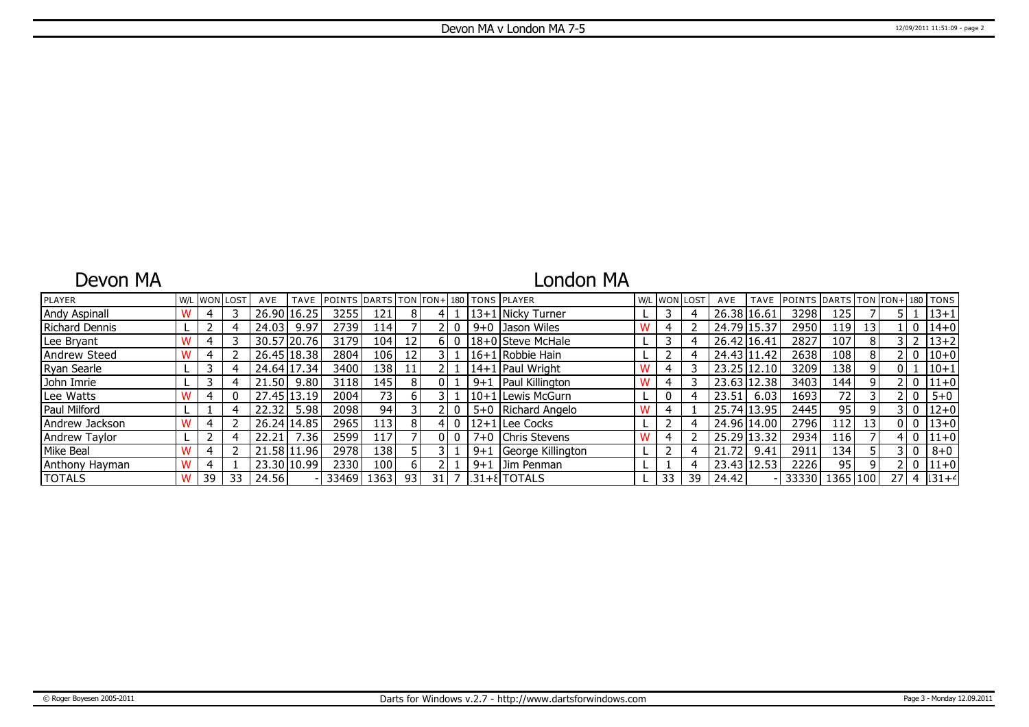### Devon MA

### London MA

| PLAYER               |    | W/L WON LOST | AVE   | <b>TAVE</b>   | <b>IPOINTS DARTS TON FON+1180 TONS PLAYER</b> |                  |                 |      |       |         |                             | W/L WON LOST |    | AVE         | <b>TAVE</b> | POINTS DARTS TON FON+180 TONS |          |                 |                 |              |          |
|----------------------|----|--------------|-------|---------------|-----------------------------------------------|------------------|-----------------|------|-------|---------|-----------------------------|--------------|----|-------------|-------------|-------------------------------|----------|-----------------|-----------------|--------------|----------|
| <b>Andy Aspinall</b> |    |              |       | 26.90 16.25   | 3255                                          | 121              | 8               | 4 I  |       |         | 13+1   Nickv Turner         |              |    | 26.38 16.61 |             | 3298                          | 125      |                 |                 |              | $13 + 1$ |
| Richard Dennis       |    |              | 24.03 | 9.97          | 2739                                          | 114 I            |                 |      |       |         | 9+0 Dason Wiles             |              |    | 24.79 15.37 |             | 2950                          | 119      | 13 <sub>1</sub> |                 | 0            | $14 + 0$ |
| Lee Bryant           |    |              |       | 30.57 20.76   | 3179                                          | 104 l            | 12 <sub>1</sub> |      | 6 I O |         | 18+0 Steve McHale           |              |    | 26.42 16.41 |             | 2827                          | 107      | 8               |                 |              | $13 + 2$ |
| Andrew Steed         |    |              |       | 26.45   18.38 | 2804                                          | 106 l            | 12 <sub>1</sub> |      |       |         | 16+1 Robbie Hain            |              |    | 24.43 11.42 |             | 2638                          | 108      | 8               |                 | 0            | $10 + 0$ |
| Ryan Searle          |    |              |       | 24.64 17.34   | 3400                                          | 138              | 11 <sup>1</sup> |      |       |         | 14+1   Paul Wright          |              |    | 23.25 12.10 |             | 3209                          | 138      | 9               |                 |              | $10 + 1$ |
| John Imrie           |    |              | 21.50 | 9.80          | 3118                                          | 145 l            | 8               | 01   |       | $9 + 1$ | Paul Killington             |              |    | 23.63 12.38 |             | 3403                          | 144      | 9               |                 | $\mathbf{0}$ | $11+0$   |
| Lee Watts            |    |              |       | 27.45 13.19   | 2004                                          | 73 l             | 6 I             |      |       |         | 10+1 Lewis McGurn           |              |    | 23.51       | 6.03        | 1693                          | 72       |                 |                 | 0            | $5 + 0$  |
| Paul Milford         |    |              | 22.32 | 5.98          | 2098                                          | 94               |                 |      |       |         | 5+0 Richard Angelo          |              |    | 25.74 13.95 |             | 2445                          | 95       |                 |                 | 0            | $12 + 0$ |
| Andrew Jackson       |    |              |       | 26.24 14.85   | 2965                                          | 113 <sub>l</sub> | 81              | 41   |       |         | 12+1 Lee Cocks              |              |    | 24.96 14.00 |             | 2796                          | 112      | 13              |                 | $\mathbf{0}$ | $13 + 0$ |
| <b>Andrew Taylor</b> |    |              | 22.21 | .36           | 2599                                          | 117              |                 | 01   |       |         | 7+0 Chris Stevens           |              |    | 25.29 13.32 |             | 2934                          | 116      |                 |                 | $\mathbf{0}$ | $11+0$   |
| Mike Beal            |    |              |       | 21.58 11.96   | 2978                                          | 138              |                 |      |       | $9 + 1$ | George Killington           |              |    | 21.72       | 9.41        | 2911                          | 134      |                 |                 | 0            | $8 + 0$  |
| Anthony Hayman       |    |              |       | 23.30 10.99   | 2330                                          | 100 <sub>l</sub> | ы               |      |       | $9 + 1$ | Uim Penman                  |              |    | 23.43 12.53 |             | 2226                          | 95       |                 |                 | 0            | $11+0$   |
| TOTALS               | 39 | 33           | 24.56 |               | 33469                                         | 1363 l           | 93              | 31 l |       |         | $ 31 + \mathcal{E} $ TOTALS | 33           | 39 | 24.42       |             | 33330                         | 1365 100 |                 | 27 <sub>1</sub> | -4           | $ 31+4 $ |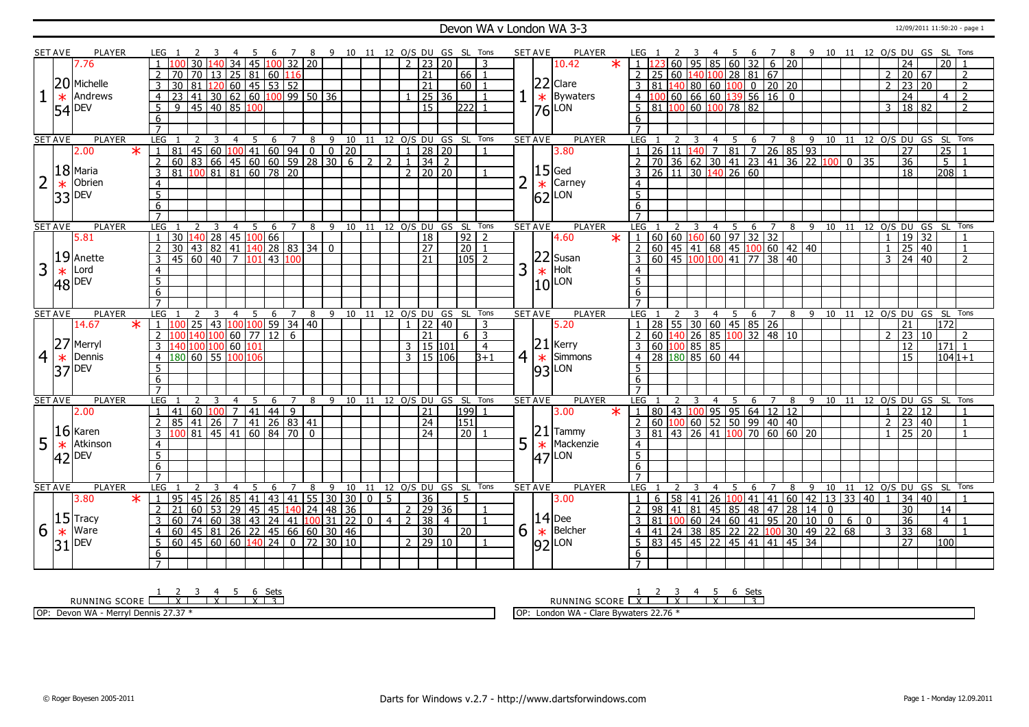### Devon WA v London WA 3-3 12/09/2011 11:50:20 - page 1

|                | <b>SET AVE</b> | <b>PLAYER</b>         |         | LEG 1           |                                                                                            |   |                   |              |                                                                                                |                 | - 8                    |                | 9 10 11 12 O/S DU GS SL Tons |                |                |                 |                            |                |                    |                | SET AVE        |        | <b>PLAYER</b>     |         |                                                                                       |                    |                | - 5                                                             | 678 |                |                  |  |              |                |                         |                 | 9 10 11 12 0/S DU GS SL Tons     |  |
|----------------|----------------|-----------------------|---------|-----------------|--------------------------------------------------------------------------------------------|---|-------------------|--------------|------------------------------------------------------------------------------------------------|-----------------|------------------------|----------------|------------------------------|----------------|----------------|-----------------|----------------------------|----------------|--------------------|----------------|----------------|--------|-------------------|---------|---------------------------------------------------------------------------------------|--------------------|----------------|-----------------------------------------------------------------|-----|----------------|------------------|--|--------------|----------------|-------------------------|-----------------|----------------------------------|--|
|                |                | 7.76                  |         |                 |                                                                                            |   | 34                |              | 45 100 32 20                                                                                   |                 |                        |                |                              |                |                |                 | $2 \mid 23 \mid 20$        |                |                    | 3              |                |        | 10.42             | $\ast$  |                                                                                       |                    |                | 60   95   85   60   32   6   20                                 |     |                |                  |  |              |                | 24                      |                 | 20                               |  |
|                |                |                       |         | $\sqrt{2}$      | 70                                                                                         |   |                   |              | 70 13 25 81 60 116                                                                             |                 |                        |                |                              |                |                |                 | 21                         |                | $66$   1           |                |                |        |                   |         | 25 60 140 100 28 81 67                                                                |                    |                |                                                                 |     |                |                  |  |              | 2              | 20 67                   |                 | $\overline{2}$                   |  |
|                |                | 20 Michelle           |         | 3               | 30                                                                                         |   |                   |              |                                                                                                |                 |                        |                |                              |                |                |                 | $\overline{21}$            |                | 60 l               |                |                |        | $ 22 $ Clare      |         | 81  140  80  60  100  0  20  20                                                       |                    |                |                                                                 |     |                |                  |  |              | $\overline{2}$ | $\sqrt{23}$ 20          |                 | $\overline{2}$                   |  |
|                | $\ast$         | Andrews               |         |                 | 23                                                                                         |   |                   |              | 81 120 60 45 53 52<br>41 30 62 60 100 99 50 36                                                 |                 |                        |                |                              |                |                |                 | 25 36                      |                |                    |                |                | $\ast$ | Bywaters          |         | $\frac{100}{60}$ 60 $\boxed{66}$ 60 $\boxed{139}$ 56 $\boxed{16}$ 0<br>$\overline{4}$ |                    |                |                                                                 |     |                |                  |  |              |                | $\overline{24}$         |                 | $\overline{4}$<br>$\overline{2}$ |  |
|                |                | $54$ <sup>DEV</sup>   |         | 5               | 9                                                                                          |   | 45 40 85 100      |              |                                                                                                |                 |                        |                |                              |                |                |                 | $\overline{15}$            |                | 222                |                |                |        | $ 76 $ LON        |         | $81 \vert 100 \vert 60 \vert 100 \vert 78 \vert 82$<br>5                              |                    |                |                                                                 |     |                |                  |  |              | $\overline{3}$ | 18 82                   |                 | $\overline{2}$                   |  |
|                |                |                       |         | 6               |                                                                                            |   |                   |              |                                                                                                |                 |                        |                |                              |                |                |                 |                            |                |                    |                |                |        |                   |         | 6                                                                                     |                    |                |                                                                 |     |                |                  |  |              |                |                         |                 |                                  |  |
|                |                |                       |         | $\overline{7}$  |                                                                                            |   |                   |              |                                                                                                |                 |                        |                |                              |                |                |                 |                            |                |                    |                |                |        |                   |         |                                                                                       |                    |                |                                                                 |     |                |                  |  |              |                |                         |                 |                                  |  |
|                | <b>SET AVE</b> | <b>PLAYER</b>         |         | LEG             |                                                                                            | 3 | $\overline{4}$    | 5            |                                                                                                | 6 7             | 8                      |                | 9 10 11 12 O/S DU GS SL Tons |                |                |                 |                            |                |                    |                | <b>SET AVE</b> |        | <b>PLAYER</b>     |         | LEG                                                                                   |                    | $\overline{4}$ | $5\overline{)}$                                                 | 6 7 |                |                  |  |              |                |                         |                 | 8 9 10 11 12 O/S DU GS SL Tons   |  |
|                |                | 2.00                  | $\ast$  |                 | 181 45 60 100 41 60 94 0 0 20 1<br>160 83 66 45 60 60 59 28 30 6<br>181 100 81 81 60 78 20 |   |                   |              |                                                                                                |                 |                        |                |                              |                |                | $\overline{1}$  | 28 20                      |                |                    |                |                |        | 3.80              |         | 26                                                                                    |                    | 11 140 7       | 81 7 26 85 93                                                   |     |                |                  |  |              |                | 27                      |                 | $\overline{25}$                  |  |
|                |                |                       |         | 2               |                                                                                            |   |                   |              |                                                                                                |                 |                        |                |                              | $\overline{2}$ | $\overline{2}$ | $\vert 1 \vert$ | $34 \mid 2$                |                |                    |                |                |        |                   |         | $\overline{70}$                                                                       |                    |                | 36 62 30 41 23 41 36 22 100 0 35                                |     |                |                  |  |              |                | $\overline{36}$         |                 | $\overline{5}$                   |  |
|                |                | $ 18 $ Maria          |         | $\overline{3}$  |                                                                                            |   |                   |              |                                                                                                |                 |                        |                |                              |                |                |                 | $2$ 20 20                  |                |                    |                |                |        | $ 15 $ Ged        |         | 26 11 30 140 26 60<br>3                                                               |                    |                |                                                                 |     |                |                  |  |              |                | 18                      |                 | $208$ 1                          |  |
| $\overline{2}$ | $\ast$         | Obrien                |         | $\overline{4}$  |                                                                                            |   |                   |              |                                                                                                |                 |                        |                |                              |                |                |                 |                            |                |                    |                | 2              | $\ast$ | Carney            |         | $\overline{4}$                                                                        |                    |                |                                                                 |     |                |                  |  |              |                |                         |                 |                                  |  |
|                |                | $ 33 $ DEV            |         | $\overline{5}$  |                                                                                            |   |                   |              |                                                                                                |                 |                        |                |                              |                |                |                 |                            |                |                    |                |                |        | $ 62 $ LON        |         | $\overline{5}$                                                                        |                    |                |                                                                 |     |                |                  |  |              |                |                         |                 |                                  |  |
|                |                |                       |         | 6               |                                                                                            |   |                   |              |                                                                                                |                 |                        |                |                              |                |                |                 |                            |                |                    |                |                |        |                   |         | 6                                                                                     |                    |                |                                                                 |     |                |                  |  |              |                |                         |                 |                                  |  |
|                |                |                       |         | $\overline{7}$  |                                                                                            |   |                   |              |                                                                                                |                 |                        |                |                              |                |                |                 |                            |                |                    |                |                |        |                   |         |                                                                                       |                    |                |                                                                 |     |                |                  |  |              |                |                         |                 |                                  |  |
|                | <b>SET AVE</b> | <b>PLAYER</b>         |         | <b>LEG</b>      | $\overline{2}$                                                                             | 3 | $\overline{4}$    | 5            | 6                                                                                              | $\overline{7}$  | 8                      | $\overline{9}$ |                              |                |                |                 | 10 11 12 O/S DU GS SL Tons |                |                    |                | <b>SET AVE</b> |        | <b>PLAYER</b>     |         | <b>LEG</b>                                                                            | 3<br>$\mathcal{P}$ |                | $4 \overline{5}$                                                | 6 7 |                |                  |  |              |                |                         |                 | 8 9 10 11 12 0/S DU GS SL Tons   |  |
|                |                | 5.81                  |         | $\mathbf{1}$    | 30 140 28 45 100 66                                                                        |   |                   |              |                                                                                                |                 |                        |                |                              |                |                |                 | 18                         |                | 92                 | $\overline{2}$ |                |        | 4.60              | $*$   1 | 00 00 160 00 97 32 32<br>00 45 41 68 45 100 60 42 40                                  |                    |                |                                                                 |     |                |                  |  |              | $\overline{1}$ | 19 32                   |                 | $\mathbf{1}$                     |  |
|                |                |                       |         | 2               | $\overline{30}$                                                                            |   |                   |              | 43 82 41 140 28 83 34 0                                                                        |                 |                        |                |                              |                |                |                 | $\overline{27}$            |                | $\overline{20}$    | $\overline{1}$ |                |        |                   |         | $\overline{2}$                                                                        |                    |                |                                                                 |     |                |                  |  |              | $\mathbf{1}$   | 25   40                 |                 | 1                                |  |
|                |                | $ 19 $ Anette         |         | $\overline{3}$  | 45 60 40 7 101 43 100                                                                      |   |                   |              |                                                                                                |                 |                        |                |                              |                |                |                 | $\overline{21}$            |                | $105$ <sup>2</sup> |                |                |        | $ 22 $ Susan      |         | 60 45 100 100 41 77 38 40                                                             |                    |                |                                                                 |     |                |                  |  |              |                | $\frac{1}{3}$   24   40 |                 | $\mathcal{L}$                    |  |
| 3              | $\ast$         | Lord                  |         | $\overline{4}$  |                                                                                            |   |                   |              |                                                                                                |                 |                        |                |                              |                |                |                 |                            |                |                    |                | 3              | $\ast$ | Holt              |         | $\overline{4}$                                                                        |                    |                |                                                                 |     |                |                  |  |              |                |                         |                 |                                  |  |
|                |                | $ 48 $ DEV            |         | $\overline{5}$  |                                                                                            |   |                   |              |                                                                                                |                 |                        |                |                              |                |                |                 |                            |                |                    |                |                |        | $10$ LON          |         | $\overline{5}$                                                                        |                    |                |                                                                 |     |                |                  |  |              |                |                         |                 |                                  |  |
|                |                |                       |         | 6               |                                                                                            |   |                   |              |                                                                                                |                 |                        |                |                              |                |                |                 |                            |                |                    |                |                |        |                   |         | 6                                                                                     |                    |                |                                                                 |     |                |                  |  |              |                |                         |                 |                                  |  |
|                |                |                       |         |                 |                                                                                            |   |                   |              |                                                                                                |                 |                        |                |                              |                |                |                 |                            |                |                    |                |                |        |                   |         |                                                                                       |                    |                |                                                                 |     |                |                  |  |              |                |                         |                 |                                  |  |
|                | <b>SET AVE</b> | <b>PLAYER</b>         |         | LEG             |                                                                                            | 3 | $\overline{4}$    | -5           | 6                                                                                              | 7               | 8                      | - 9            |                              | 10 11          |                |                 | 12 O/S DU GS SL Tons       |                |                    |                | <b>SET AVE</b> |        | <b>PLAYER</b>     |         | <b>LEG</b>                                                                            |                    | $\overline{4}$ | -5                                                              | 6 7 |                | 89               |  |              |                |                         |                 | 10 11 12 O/S DU GS SL Tons       |  |
|                |                | 14.67                 | $\ast$  |                 |                                                                                            |   |                   |              | 25 43 100 100 59 34 40                                                                         |                 |                        |                |                              |                |                |                 | 22 40                      |                |                    | 3              |                |        | 5.20              |         | 28 55 30 60 45 85 26                                                                  |                    |                |                                                                 |     |                |                  |  |              |                | 21                      |                 | 172                              |  |
|                |                |                       |         |                 |                                                                                            |   |                   |              | 140 100 60 77 12                                                                               | $6\overline{6}$ |                        |                |                              |                |                |                 | $\overline{21}$            |                | 6 <sup>1</sup>     | $\overline{3}$ |                |        |                   |         | 60 140 26 85 100 32 48 10                                                             |                    |                |                                                                 |     |                |                  |  |              |                | 23 10                   |                 |                                  |  |
|                | 27             | Merryl                |         | 3               | 40 100 100 60 101                                                                          |   |                   |              |                                                                                                |                 |                        |                |                              |                |                |                 | 3   15   101               |                |                    | $\overline{4}$ |                |        | $ 21 $ Kerry      |         | $60$ 100 85 85<br>3                                                                   |                    |                |                                                                 |     |                |                  |  |              |                | 12                      |                 | 171 1                            |  |
| $\overline{4}$ | $\ast$         | Dennis                |         | $\overline{4}$  | 180 60 55 100 106                                                                          |   |                   |              |                                                                                                |                 |                        |                |                              |                |                |                 | 3   15   106               |                |                    | $B+1$          | 4              |        | $ \star $ Simmons |         | $\overline{28}$ $\overline{180}$ 85 60 44<br>4 <sup>1</sup>                           |                    |                |                                                                 |     |                |                  |  |              |                | 15                      |                 | $1041+1$                         |  |
|                |                | $37$ DEV              |         | 5               |                                                                                            |   |                   |              |                                                                                                |                 |                        |                |                              |                |                |                 |                            |                |                    |                |                |        | $ 93 $ LON        |         | 5                                                                                     |                    |                |                                                                 |     |                |                  |  |              |                |                         |                 |                                  |  |
|                |                |                       |         | $6\overline{6}$ |                                                                                            |   |                   |              |                                                                                                |                 |                        |                |                              |                |                |                 |                            |                |                    |                |                |        |                   |         | 6                                                                                     |                    |                |                                                                 |     |                |                  |  |              |                |                         |                 |                                  |  |
|                |                |                       |         | $\overline{7}$  |                                                                                            |   |                   |              |                                                                                                |                 |                        |                |                              |                |                |                 |                            |                |                    |                |                |        |                   |         | $\overline{7}$                                                                        |                    |                |                                                                 |     |                |                  |  |              |                |                         |                 |                                  |  |
|                | <b>SET AVE</b> | <b>PLAYER</b>         |         | LEG             |                                                                                            | 3 | 4                 | -5           | 6                                                                                              | 7               | 8                      | -9             | 10                           | -11            |                |                 | 12 O/S DU GS SL Tons       |                |                    |                | <b>SET AVE</b> |        | <b>PLAYER</b>     |         | LEG                                                                                   |                    | 4              | -5                                                              | 6   | 7              | - 9<br>8         |  |              |                |                         |                 | 10 11 12 O/S DU GS SL Tons       |  |
|                |                | 2.00                  |         | $\mathbf{1}$    | $ 41 $ 60 $ 100 $                                                                          |   | $\overline{7}$    | $ 41\rangle$ |                                                                                                | 44 9            |                        |                |                              |                |                |                 | $\overline{21}$            |                | 199                |                |                |        | 3.00              | $\ast$  | 80 43 100 95 95 64 12 12<br>$\mathbf{1}$                                              |                    |                |                                                                 |     |                |                  |  |              | $\overline{1}$ | $\overline{22}$         | $\overline{12}$ | $\mathbf{1}$                     |  |
|                |                |                       |         | <sup>2</sup>    | 85                                                                                         |   | 41   26   7       | 41           |                                                                                                | 26 83 41        |                        |                |                              |                |                |                 | $\overline{24}$            |                | 151                |                |                |        |                   |         | $60\left 100\right 60\left 52\right 50\left 99\right 40\left 40\right $<br>2          |                    |                |                                                                 |     |                |                  |  |              | $\overline{2}$ | 23                      | $ 40\rangle$    | $\mathbf{1}$                     |  |
|                |                | $16$ Karen            |         | $\overline{3}$  |                                                                                            |   | 81   45   41      |              | 60 84                                                                                          | $\overline{70}$ | $\overline{0}$         |                |                              |                |                |                 | $\overline{24}$            |                | $\overline{20}$    |                |                |        | $ 21 $ Tammy      |         | 81 43 26 41 100 70 60 60 20<br>3                                                      |                    |                |                                                                 |     |                |                  |  |              | $\overline{1}$ | $25 \mid 20$            |                 | $\mathbf{1}$                     |  |
| 5              | $\ast$         | Atkinson              |         | $\overline{4}$  |                                                                                            |   |                   |              |                                                                                                |                 |                        |                |                              |                |                |                 |                            |                |                    |                | 5              | $\ast$ | Mackenzie         |         | $\overline{4}$                                                                        |                    |                |                                                                 |     |                |                  |  |              |                |                         |                 |                                  |  |
|                |                | $ 42 $ <sup>DEV</sup> |         | 5               |                                                                                            |   |                   |              |                                                                                                |                 |                        |                |                              |                |                |                 |                            |                |                    |                |                |        | $ 47 $ LON        |         | $\overline{5}$                                                                        |                    |                |                                                                 |     |                |                  |  |              |                |                         |                 |                                  |  |
|                |                |                       |         | 6               |                                                                                            |   |                   |              |                                                                                                |                 |                        |                |                              |                |                |                 |                            |                |                    |                |                |        |                   |         | 6                                                                                     |                    |                |                                                                 |     |                |                  |  |              |                |                         |                 |                                  |  |
|                |                |                       |         | $\overline{7}$  |                                                                                            |   |                   |              |                                                                                                |                 |                        |                |                              |                |                |                 |                            |                |                    |                |                |        |                   |         |                                                                                       |                    |                |                                                                 |     |                |                  |  |              |                |                         |                 |                                  |  |
|                | <b>SET AVE</b> | PLAYER                |         | LEG             |                                                                                            |   | $\overline{4}$    | 5            | 6                                                                                              | $\overline{7}$  | 8                      | 9              |                              |                |                |                 | 10 11 12 O/S DU GS SL Tons |                |                    |                | <b>SET AVE</b> |        | <b>PLAYER</b>     |         | <b>LEG</b>                                                                            |                    | $\overline{4}$ | -5                                                              | 6   | $\overline{7}$ | $8 \overline{9}$ |  |              |                |                         |                 | 10 11 12 0/S DU GS SL Tons       |  |
|                |                | 3.80                  | $\star$ | l 1             | 95                                                                                         |   | 45   26   85   41 |              |                                                                                                |                 | 43   41   55   30   30 |                |                              | $\Omega$       | $5-1$          |                 | 36                         |                | 5.                 |                |                |        | 3.00              |         |                                                                                       |                    |                | $6$   58   41   26   100   41   41   60   42   13   33   40   1 |     |                |                  |  |              |                | 34 40                   |                 |                                  |  |
|                |                |                       |         |                 |                                                                                            |   |                   |              | 60   53   29   45   45   140   24   48   36  <br>  74   60   38   43   24   41   100   31   22 |                 |                        |                |                              |                |                |                 | 2   29   36                |                |                    |                |                |        |                   |         | 98 41 81 45 85 48 47 28 14 0                                                          |                    |                |                                                                 |     |                |                  |  |              |                | 30                      |                 | 14                               |  |
|                |                | $15$ Tracy            |         | $\overline{3}$  | 60                                                                                         |   |                   |              |                                                                                                |                 |                        |                |                              | $\overline{0}$ | $\overline{4}$ | $\overline{2}$  | $\overline{38}$            | $\overline{4}$ |                    |                |                |        | $ 14 $ Dee        |         | $81  100  60  24   60  41   95   20   10   0 6$                                       |                    |                |                                                                 |     |                |                  |  | $\mathbf{0}$ |                | $\overline{36}$         |                 | $\overline{4}$                   |  |
| 6              |                | $*$ Ware              |         | $\overline{4}$  | 60                                                                                         |   |                   |              | 45 81 26 22 45 66 60 30 46                                                                     |                 |                        |                |                              |                |                |                 | 30                         |                | 20                 |                | 6              |        | $\star$ Belcher   |         | 41<br>$\overline{4}$                                                                  |                    |                | 24 38 85 22 22 100 30 49 22 68                                  |     |                |                  |  |              | 3              | 33 68                   |                 |                                  |  |
|                |                | $31$ DEV              |         | -5              | 60 45 60 60 140 24 0 72 30 10                                                              |   |                   |              |                                                                                                |                 |                        |                |                              |                |                |                 | $2 \mid 29 \mid 10$        |                |                    |                |                |        | $ 92 $ LON        |         | 83 45 45 22 45 41 41 45 34<br>-5                                                      |                    |                |                                                                 |     |                |                  |  |              |                | $\overline{27}$         |                 | 100l                             |  |
|                |                |                       |         | 6               |                                                                                            |   |                   |              |                                                                                                |                 |                        |                |                              |                |                |                 |                            |                |                    |                |                |        |                   |         | 6                                                                                     |                    |                |                                                                 |     |                |                  |  |              |                |                         |                 |                                  |  |
|                |                |                       |         |                 |                                                                                            |   |                   |              |                                                                                                |                 |                        |                |                              |                |                |                 |                            |                |                    |                |                |        |                   |         |                                                                                       |                    |                |                                                                 |     |                |                  |  |              |                |                         |                 |                                  |  |

RUNNING SCORE <u>| X | X | X | 3</u><br>RUNNING SCORE <u>| X | X | X | X | 3</u> OP: Devon WA - Merryl Dennis 27.37 \*

RUNNING SCORE 1 X 2 3 X 4 5 X 6 Sets 3

OP: London WA - Clare Bywaters 22.76 \*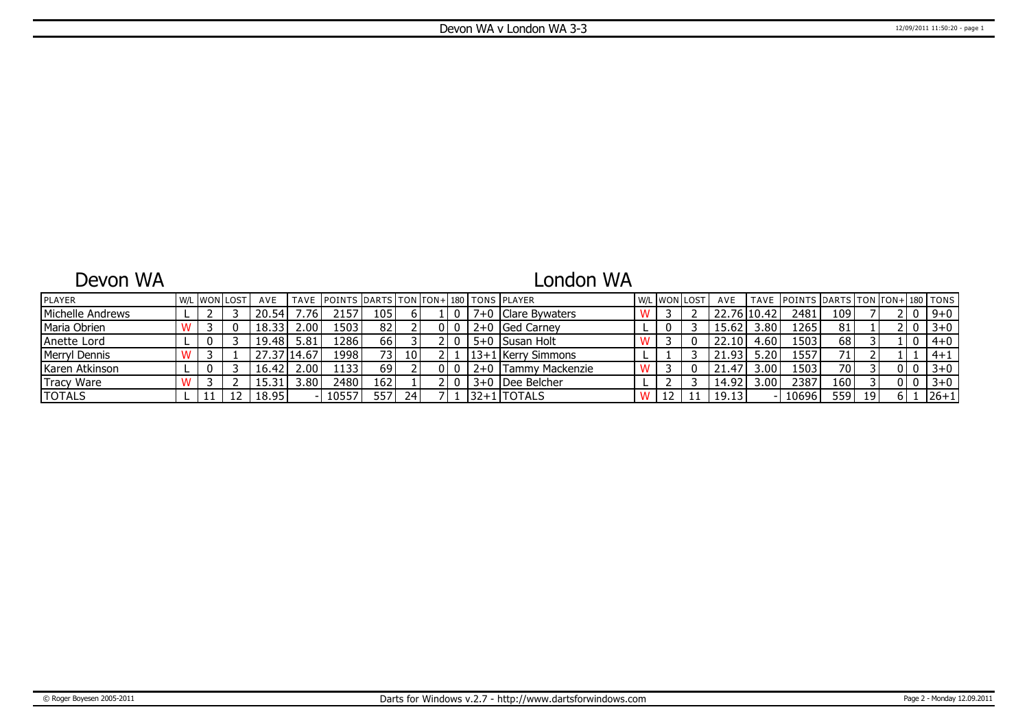### Devon WA

# London WA

| <b>PLAYER</b>    |  | .  WON LOST | AVE   |                   | TAVE POINTS DARTS TON FON+ 180 TONS PLAYER |     |      |  |                      | W/L WON LOST | AVE         |                   | TAVE POINTS DARTS TON TON+ 180 TONS |      |    |    |         |
|------------------|--|-------------|-------|-------------------|--------------------------------------------|-----|------|--|----------------------|--------------|-------------|-------------------|-------------------------------------|------|----|----|---------|
| Michelle Andrews |  |             | 20.54 | .76'              | 2157                                       | 105 |      |  | 7+0   Clare Bvwaters |              | 22.76 10.42 |                   | 2481                                | 109' |    |    | $9 + 0$ |
| Maria Obrien     |  |             | 18.33 | 2.001             | 1503                                       | 82  |      |  | 2+0 Ged Carney       |              | 15.62       | 3.80              | 1265                                | 81   |    | 0  | $3 + 0$ |
| Anette Lord      |  |             | 19.48 | 5.81              | 1286 <sup>'</sup>                          | 66  |      |  | 5+0 Susan Holt       |              | 22.10       | 4.60              | 1503                                | 68   |    | U  | $4 + 0$ |
| Merryl Dennis    |  |             |       | 14.67،            | 1998                                       | 731 | 10 I |  | 13+1   Kerry Simmons |              | 21.93       | 5.20              | 1557                                | 71   |    |    | $4+1$   |
| Karen Atkinson   |  |             | 16.42 | 2.00 <sup>1</sup> | 1133                                       | 69  |      |  | 2+0 Tammy Mackenzie  |              | 21.47       | 3.00              | 1503                                | 70   |    | -0 | $3+0$   |
| Tracy Ware       |  |             |       | 3.80 <sup>1</sup> | 2480                                       | 162 |      |  | 3+0 IDee Belcher     |              | 14.92       | 3.00 <sub>1</sub> | 2387                                | 160  |    |    | $3 + 0$ |
| <b>TOTALS</b>    |  |             | 18.95 |                   | 10557                                      | 557 | 24   |  | 132+11TOTALS         | ΠZ           | 19.13       |                   | 10696                               | 559  | 19 |    | $ 26+1$ |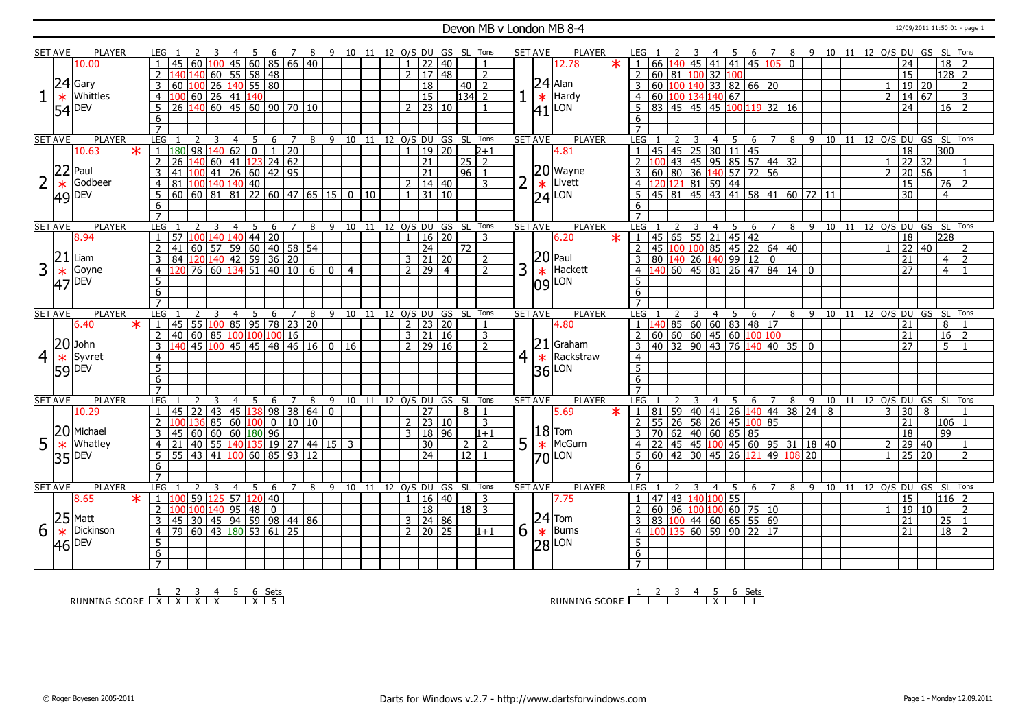### Devon MB v London MB 8-4 12/09/2011 11:50:01 - page 1

|                | <b>SET AVE</b> | <b>PLAYER</b>         |        | LEG 1                                                                                                                                                                                            | -3              | -4             | - 5                                                                     | - 6            |                 |                | 7 8 9 10 11 12 O/S DU GS SL Tons           |                |                              |                |                                 |                |                    |                |   | <b>SET AVE</b> | PLAYER        |         | LEG 1               |                   |               |                |                |                                                 |     |                |   |           |                      |                |                       |       | 4 5 6 7 8 9 10 11 12 O/S DU GS SL Tons |               |
|----------------|----------------|-----------------------|--------|--------------------------------------------------------------------------------------------------------------------------------------------------------------------------------------------------|-----------------|----------------|-------------------------------------------------------------------------|----------------|-----------------|----------------|--------------------------------------------|----------------|------------------------------|----------------|---------------------------------|----------------|--------------------|----------------|---|----------------|---------------|---------|---------------------|-------------------|---------------|----------------|----------------|-------------------------------------------------|-----|----------------|---|-----------|----------------------|----------------|-----------------------|-------|----------------------------------------|---------------|
|                |                | 10.00                 |        | $\overline{45}$<br>60                                                                                                                                                                            |                 |                | 45 60 85 66 40                                                          |                |                 |                |                                            |                |                              |                | $1 \mid 22 \mid 40$             |                |                    | $\overline{1}$ |   |                | 12.78         | $\star$ | $\mathbf{1}$        | 66                |               |                |                | 140 45 41 41 45 105 0                           |     |                |   |           |                      |                | 24                    |       | $18$   2                               |               |
|                |                |                       |        | $\overline{2}$<br>14በ                                                                                                                                                                            |                 |                | 60   55   58   48                                                       |                |                 |                |                                            |                |                              |                | 2   17   48                     |                |                    | $\overline{2}$ |   |                |               |         | $\overline{2}$      | 60 81 100 32 100  |               |                |                |                                                 |     |                |   |           |                      |                | 15                    |       | 128 2                                  |               |
|                |                | $24$ Gary             |        | 60<br>3<br>100                                                                                                                                                                                   | $\overline{26}$ |                | $140$ 55 80                                                             |                |                 |                |                                            |                |                              |                | $\overline{18}$                 |                | $40$   2           |                |   |                | $24$ Alan     |         | 3                   | 60                |               |                |                | 100 140 33 82 66 20                             |     |                |   |           |                      | 1              |                       | 19 20 |                                        | 2             |
|                | $\ast$         | Whittles              |        | $\overline{4}$<br>100                                                                                                                                                                            | 60 26 41 140    |                |                                                                         |                |                 |                |                                            |                |                              |                | $\overline{15}$                 |                | $\overline{134}$ 2 |                |   | $\ast$         | Hardy         |         | $\overline{4}$      | 60 100 134 140 67 |               |                |                |                                                 |     |                |   |           |                      |                | $2 \mid 14 \mid 67$   |       |                                        | $\mathbf{3}$  |
|                |                |                       |        | 5<br>26<br>140                                                                                                                                                                                   |                 |                |                                                                         |                |                 |                |                                            |                |                              |                | $2 \times 23 \times 10$         |                |                    | $\overline{1}$ |   |                |               |         |                     |                   |               |                |                | 83 45 45 45 100 119 32 16                       |     |                |   |           |                      |                | 24                    |       | $16 \mid 2$                            |               |
|                |                | $ 54 $ <sup>DEV</sup> |        |                                                                                                                                                                                                  |                 |                |                                                                         |                |                 |                |                                            |                |                              |                |                                 |                |                    |                |   |                | $ 41 $ LON    |         |                     |                   |               |                |                |                                                 |     |                |   |           |                      |                |                       |       |                                        |               |
|                |                |                       |        | 6<br>$\overline{7}$                                                                                                                                                                              |                 |                |                                                                         |                |                 |                |                                            |                |                              |                |                                 |                |                    |                |   |                |               |         | 6                   |                   |               |                |                |                                                 |     |                |   |           |                      |                |                       |       |                                        |               |
|                | <b>SET AVE</b> | <b>PLAYER</b>         |        | LEG <sub>1</sub>                                                                                                                                                                                 | 3               | $\overline{4}$ | -5                                                                      | 6              | $\overline{7}$  |                | 8 9 10 11 12 0/S DU GS SL Tons             |                |                              |                |                                 |                |                    |                |   | <b>SET AVE</b> | <b>PLAYER</b> |         | LEG <sub>1</sub>    |                   | 2             | $\overline{3}$ |                |                                                 |     |                |   |           |                      |                |                       |       | 4 5 6 7 8 9 10 11 12 O/S DU GS SL Tons |               |
|                |                | 10.63                 | $\ast$ | 180 98                                                                                                                                                                                           |                 | 140 62         | $\overline{0}$                                                          | 1              | $\overline{20}$ |                |                                            |                |                              |                | 19 20                           |                |                    | $2 + 1$        |   |                | 4.81          |         |                     |                   |               |                |                | 45 45 25 30 11 45                               |     |                |   |           |                      |                | $\overline{18}$       |       | 300 <sub>1</sub>                       |               |
|                |                |                       |        | 26<br>140                                                                                                                                                                                        | 60 41           |                | 123                                                                     |                | 24 62           |                |                                            |                |                              |                | 21                              |                | 25                 | $\overline{2}$ |   |                |               |         |                     | l OC              |               |                |                | 43 45 95 85 57 44 32                            |     |                |   |           |                      |                |                       | 22 32 |                                        |               |
|                |                | $22$ Paul             |        | $\overline{2}$<br>3<br>41                                                                                                                                                                        |                 |                | $\frac{100}{41}$ $\frac{26}{60}$ $\frac{42}{95}$                        |                |                 |                |                                            |                |                              |                | $\overline{21}$                 |                | $96$   1           |                |   |                | $ 20 $ Wayne  |         |                     |                   |               |                |                | 60 80 36 140 57 72 56                           |     |                |   |           |                      | $\overline{2}$ |                       | 20 56 |                                        |               |
| $\overline{2}$ |                | Godbeer               |        | 81                                                                                                                                                                                               |                 |                | 100 140 140 40                                                          |                |                 |                |                                            |                |                              |                | $2 \mid 14 \mid 40$             |                |                    | 3              |   |                | Livett        |         | 3                   | 120 121 81 59 44  |               |                |                |                                                 |     |                |   |           |                      |                |                       |       |                                        |               |
|                | $\ast$         |                       |        | $\overline{4}$<br>$\overline{60}$ $\overline{60}$ $\overline{81}$ $\overline{81}$ $\overline{22}$ $\overline{60}$ $\overline{47}$ $\overline{65}$ $\overline{15}$ $\overline{0}$ $\overline{10}$ |                 |                |                                                                         |                |                 |                |                                            |                |                              |                | $1 \overline{31} \overline{10}$ |                |                    |                |   | $\ast$         |               |         | $\overline{4}$      |                   |               |                |                | 45 81 45 43 41 58 41 60 72 11                   |     |                |   |           |                      |                | 15<br>$\overline{30}$ |       | $76$   2<br>$\overline{4}$             |               |
|                |                | $ 49 $ DEV            |        | 5                                                                                                                                                                                                |                 |                |                                                                         |                |                 |                |                                            |                |                              |                |                                 |                |                    |                |   | 24             | LON           |         | 5                   |                   |               |                |                |                                                 |     |                |   |           |                      |                |                       |       |                                        |               |
|                |                |                       |        | 6                                                                                                                                                                                                |                 |                |                                                                         |                |                 |                |                                            |                |                              |                |                                 |                |                    |                |   |                |               |         | 6                   |                   |               |                |                |                                                 |     |                |   |           |                      |                |                       |       |                                        |               |
|                |                |                       |        | $\overline{7}$                                                                                                                                                                                   |                 |                |                                                                         |                |                 |                |                                            |                |                              |                |                                 |                |                    |                |   |                |               |         |                     |                   |               |                |                |                                                 |     |                |   |           |                      |                |                       |       |                                        |               |
|                | <b>SET AVE</b> | <b>PLAYER</b>         |        | <b>LEG</b>                                                                                                                                                                                       | 3               | $\overline{4}$ | 5                                                                       | 6              | $7^{\circ}$     | 8              |                                            |                | 9 10 11 12 0/S DU GS SL Tons |                |                                 |                |                    |                |   | <b>SET AVE</b> | <b>PLAYER</b> |         | <b>LEG</b>          |                   |               | 3              |                | 4 5 6 7                                         |     | $\overline{8}$ |   |           | 9 10 11 12 0/S DU GS |                |                       |       |                                        | SL Tons       |
|                |                | 8.94                  |        | 57<br>$\mathbf{1}$                                                                                                                                                                               |                 |                | 100 140 140 44 20                                                       |                |                 |                |                                            |                |                              |                | 1   16   20                     |                |                    | 3              |   |                | 6.20          | $\ast$  | $\cup$              |                   |               |                |                | 45 65 55 21 45 42                               |     |                |   |           |                      |                | 18                    |       | 2281                                   |               |
|                |                | $21$ Liam             |        | 2<br>41                                                                                                                                                                                          |                 |                | 60 57 59 60 40 58 54                                                    |                |                 |                |                                            |                |                              |                | $\overline{24}$                 |                | $\overline{72}$    |                |   |                | $ 20 $ Paul   |         | $\overline{2}$      |                   |               |                |                | 45 100 100 85 45 22 64 40                       |     |                |   |           |                      |                |                       | 22 40 |                                        |               |
|                |                |                       |        | 3<br>84                                                                                                                                                                                          |                 |                | $120\overline{140}$ 42 59 36 20                                         |                |                 |                |                                            |                |                              |                | $3 \ 21 \ 20$                   |                |                    | $\overline{z}$ |   |                |               |         |                     |                   |               |                |                | 80 140 26 140 99 12 0                           |     |                |   |           |                      |                | 21                    |       | $4\sqrt{2}$                            |               |
| 3              | $\ast$         | Goyne                 |        | $\overline{4}$                                                                                                                                                                                   |                 |                | 76 60 134 51 40 10                                                      |                |                 | 6 <sup>1</sup> | $\overline{0}$                             | $\overline{4}$ |                              |                | 2 29                            | $\overline{4}$ |                    | $\overline{2}$ | 3 | $\ast$         | Hackett       |         | 4                   |                   |               |                |                | 140 60 45 81 26 47 84 14 0                      |     |                |   |           |                      |                | 27                    |       | $\overline{4}$                         |               |
|                |                | $47$ DEV              |        | $\overline{5}$                                                                                                                                                                                   |                 |                |                                                                         |                |                 |                |                                            |                |                              |                |                                 |                |                    |                |   |                | $ 09 $ LON    |         | 5                   |                   |               |                |                |                                                 |     |                |   |           |                      |                |                       |       |                                        |               |
|                |                |                       |        | 6                                                                                                                                                                                                |                 |                |                                                                         |                |                 |                |                                            |                |                              |                |                                 |                |                    |                |   |                |               |         | 6                   |                   |               |                |                |                                                 |     |                |   |           |                      |                |                       |       |                                        |               |
|                |                |                       |        | $\overline{7}$                                                                                                                                                                                   |                 |                |                                                                         |                |                 |                |                                            |                |                              |                |                                 |                |                    |                |   |                |               |         | $\overline{7}$      |                   |               |                |                |                                                 |     |                |   |           |                      |                |                       |       |                                        |               |
|                |                |                       |        |                                                                                                                                                                                                  |                 |                |                                                                         |                |                 |                |                                            |                |                              |                |                                 |                |                    |                |   |                |               |         |                     |                   |               |                |                |                                                 |     |                |   |           |                      |                |                       |       |                                        |               |
| <b>SET AVE</b> |                | <b>PLAYER</b>         |        | LEG<br>2                                                                                                                                                                                         | 3               | 4              | 5                                                                       | 6              | 7               | 8              | 9 10 11                                    |                |                              |                | 12 O/S DU GS SL Tons            |                |                    |                |   | <b>SET AVE</b> | <b>PLAYER</b> |         | <b>LEG</b>          |                   |               |                | $\overline{4}$ | 5                                               | 6 7 |                |   | 8 9 10 11 | 12 $0/S$ DU $GS$     |                |                       |       |                                        | SL Tons       |
|                |                | 6.40                  | $\ast$ | 55<br>$\mathbf{1}$<br>45                                                                                                                                                                         |                 |                | 1008595782320                                                           |                |                 |                |                                            |                |                              |                | $2 \mid 23 \mid 20$             |                |                    |                |   |                | 4.80          |         | $\mathbf{1}$        |                   |               |                |                |                                                 |     |                |   |           |                      |                | 21                    |       | $\overline{8}$                         |               |
|                |                |                       |        | $\overline{2}$<br>40                                                                                                                                                                             |                 |                | $\left  60 \right  85$ $\left  100 \right  100$ $\left  100 \right  16$ |                |                 |                |                                            |                |                              |                | $3 \mid 21 \mid 16$             |                |                    | $\overline{3}$ |   |                |               |         | $\overline{2}$      |                   |               |                |                | 140 85 60 60 83 48 17<br>60 60 60 45 60 100 100 |     |                |   |           |                      |                | $\overline{21}$       |       | $16 \mid 2$                            |               |
|                |                | $ 20 $ John           |        | 3<br>140                                                                                                                                                                                         |                 |                |                                                                         |                |                 |                | $145$ $\overline{100}$ 45 45 48 46 16 0 16 |                |                              |                | 2 29 16                         |                |                    | $\overline{2}$ |   |                | $21$ Graham   |         | $\overline{3}$      |                   |               |                |                | $\frac{1}{40}$ 32 90 43 76 140 40 35 0          |     |                |   |           |                      |                | 27                    |       | $5 \mid 1$                             |               |
| $\overline{4}$ | $\ast$         | Syvret                |        | $\overline{4}$                                                                                                                                                                                   |                 |                |                                                                         |                |                 |                |                                            |                |                              |                |                                 |                |                    |                | 4 | $\ast$         | Rackstraw     |         | $\overline{4}$      |                   |               |                |                |                                                 |     |                |   |           |                      |                |                       |       |                                        |               |
|                |                |                       |        | $\overline{5}$                                                                                                                                                                                   |                 |                |                                                                         |                |                 |                |                                            |                |                              |                |                                 |                |                    |                |   | 36             | LON           |         | $\overline{5}$      |                   |               |                |                |                                                 |     |                |   |           |                      |                |                       |       |                                        |               |
|                |                | $59$ DEV              |        | $\overline{6}$                                                                                                                                                                                   |                 |                |                                                                         |                |                 |                |                                            |                |                              |                |                                 |                |                    |                |   |                |               |         | 6                   |                   |               |                |                |                                                 |     |                |   |           |                      |                |                       |       |                                        |               |
|                |                |                       |        | $\overline{7}$                                                                                                                                                                                   |                 |                |                                                                         |                |                 |                |                                            |                |                              |                |                                 |                |                    |                |   |                |               |         | $\overline{7}$      |                   |               |                |                |                                                 |     |                |   |           |                      |                |                       |       |                                        |               |
|                | <b>SET AVE</b> | <b>PLAYER</b>         |        | LEG                                                                                                                                                                                              |                 |                | -5                                                                      | 6              | $\overline{7}$  | 8              |                                            |                | 9 10 11 12 O/S DU GS SL      |                |                                 |                |                    | Tons           |   | <b>SET AVE</b> | <b>PLAYER</b> |         | <b>LEG</b>          |                   |               |                | $\overline{4}$ | $\overline{5}$                                  | 6 7 | 8              | 9 |           |                      |                |                       |       | 10 11 12 O/S DU GS SL Tons             |               |
|                |                | 10.29                 |        | 45<br>22<br>$\mathbf{1}$                                                                                                                                                                         | 43              | 45             | 138                                                                     |                | 98 38 64        |                | $\Omega$                                   |                |                              |                | $\overline{27}$                 |                | $\overline{8}$     | $\overline{1}$ |   |                | 5.69          |         | $\mathbf{1}$        |                   |               |                |                | 81   59   40   41   26   140   44   38   24   8 |     |                |   |           |                      | 3              |                       | 30 8  |                                        |               |
|                |                |                       |        | $\overline{2}$                                                                                                                                                                                   | 85 60           |                | 100                                                                     |                | 0   10   10     |                |                                            |                |                              |                | $2$ 23 10                       |                |                    | $\overline{3}$ |   |                |               |         |                     |                   |               |                |                | 55 26 58 26 45 100 85                           |     |                |   |           |                      |                | $\overline{21}$       |       | $ 106 $ 1                              |               |
|                |                | 20 Michael            |        | 3<br>45<br>60                                                                                                                                                                                    |                 |                | $60 \ 60 \ 180 \ 96$                                                    |                |                 |                |                                            |                |                              | 3 <sup>7</sup> | 18 96                           |                |                    | $1 + 1$        |   |                | $18$ Tom      |         |                     | 70                |               |                |                | $62$ 40 60 85 85                                |     |                |   |           |                      |                | $\overline{18}$       |       | 99                                     |               |
| 5              | $\ast$         | Whatley               |        | $\overline{4}$                                                                                                                                                                                   |                 |                |                                                                         |                |                 |                | 40 55 140 135 19 27 44 15 3                |                |                              |                | 30                              |                | $\overline{2}$     | $\overline{2}$ | 5 | $\ast$         | McGurn        |         |                     | $\overline{22}$   |               |                |                | 45 45 100 45 60 95 31 18 40                     |     |                |   |           |                      | $\overline{2}$ |                       | 29 40 |                                        |               |
|                |                |                       |        | 55 43 41 100 60 85 93 12<br>5 <sup>1</sup>                                                                                                                                                       |                 |                |                                                                         |                |                 |                |                                            |                |                              |                | $\overline{24}$                 |                | $\overline{12}$    |                |   |                | $ 70 $ LON    |         | $5\overline{5}$     |                   |               |                |                | 60 42 30 45 26 121 49 108 20                    |     |                |   |           |                      | $\overline{1}$ |                       | 25 20 |                                        |               |
|                |                | 35 DEV                |        | 6                                                                                                                                                                                                |                 |                |                                                                         |                |                 |                |                                            |                |                              |                |                                 |                |                    |                |   |                |               |         | 6                   |                   |               |                |                |                                                 |     |                |   |           |                      |                |                       |       |                                        |               |
|                |                |                       |        | $\overline{7}$                                                                                                                                                                                   |                 |                |                                                                         |                |                 |                |                                            |                |                              |                |                                 |                |                    |                |   |                |               |         | $\overline{7}$      |                   |               |                |                |                                                 |     |                |   |           |                      |                |                       |       |                                        |               |
|                | <b>SET AVE</b> | <b>PLAYER</b>         |        | LEG <sub>1</sub><br>$\mathcal{L}$                                                                                                                                                                | -3              | $\overline{4}$ | 5                                                                       | - 6            | 7               | - 8            |                                            |                | 9 10 11 12 O/S DU GS SL Tons |                |                                 |                |                    |                |   | <b>SET AVE</b> | <b>PLAYER</b> |         | LEG                 |                   | $\mathcal{P}$ | 3              |                |                                                 |     |                |   |           |                      |                |                       |       | 4 5 6 7 8 9 10 11 12 O/S DU GS SL Tons |               |
|                |                | 8.65                  | $\ast$ | 59<br>$\mathbf{1}$<br>100                                                                                                                                                                        | $125$ 57        |                | 120 40                                                                  |                |                 |                |                                            |                |                              |                | 1   16   40                     |                |                    | 3              |   |                | 7.75          |         | $\overline{1}$      | 47 43 140 100 55  |               |                |                |                                                 |     |                |   |           |                      |                | 15                    |       | $116$ 2                                |               |
|                |                |                       |        | $\overline{2}$<br>100                                                                                                                                                                            |                 |                | $ 100 140 $ 95   48                                                     | $\overline{0}$ |                 |                |                                            |                |                              |                | $\overline{18}$                 |                | $18$   3           |                |   |                |               |         | $\overline{2}$      | 60                |               |                |                | 96 100 100 60 75 10                             |     |                |   |           |                      |                |                       | 19 10 |                                        | $\mathcal{L}$ |
|                |                | $ 25 $ Matt           |        | $\overline{3}$<br>45                                                                                                                                                                             |                 |                | 30 45 94 59 98 44 86                                                    |                |                 |                |                                            |                |                              |                | $3 \mid 24 \mid 86$             |                |                    |                |   |                | $ 24 $ Tom    |         | 3                   | 83 100            |               |                |                | $ 44 $ 60 65 55 69                              |     |                |   |           |                      |                | 21                    |       | $\vert 25 \vert 1$                     |               |
| 6              | $\ast$         | <b>Dickinson</b>      |        | $\overline{79}$<br>$\overline{4}$                                                                                                                                                                |                 |                | $\boxed{60}$ $\boxed{43}$ $\boxed{180}$ 53 $\boxed{61}$ 25              |                |                 |                |                                            |                |                              |                | $2 \times 20 \times 25$         |                |                    | $1 + 1$        | 6 | $\ast$         | Burns         |         | $\overline{4}$      |                   |               |                |                | 100 135 60 59 90 22 17                          |     |                |   |           |                      |                | $\overline{21}$       |       | $18$   2                               |               |
|                |                |                       |        | 5                                                                                                                                                                                                |                 |                |                                                                         |                |                 |                |                                            |                |                              |                |                                 |                |                    |                |   |                | LON           |         | $\overline{5}$      |                   |               |                |                |                                                 |     |                |   |           |                      |                |                       |       |                                        |               |
|                |                | $ 46 $ <sup>DEV</sup> |        | $6\phantom{1}$<br>$7^{\circ}$                                                                                                                                                                    |                 |                |                                                                         |                |                 |                |                                            |                |                              |                |                                 |                |                    |                |   | 28             |               |         | 6<br>$\overline{7}$ |                   |               |                |                |                                                 |     |                |   |           |                      |                |                       |       |                                        |               |

RUNNING SCORE 1 X 2 X 3 X 4 X 5 6 X Sets 5

RUNNING SCORE 1 2 3 4 5 X 6 Sets 1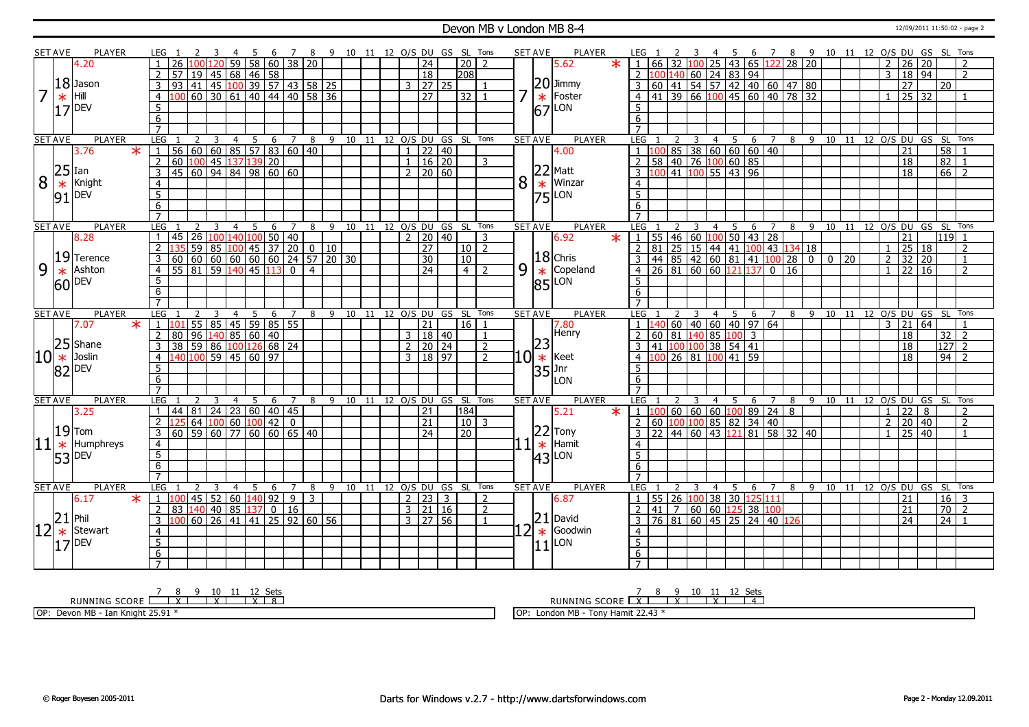#### Devon MB v London MB 8-4 12/09/2011 11:50:02 - page 2

|                | <b>SET AVE</b> |                       | <b>PLAYER</b>   |                 | LEG 1           |                |                |                                                |                | -5 | - 6            | $\overline{7}$                                                   |                | 8 9 10 11 12 0/S DU GS SL Tons                         |                   |                 |              |                     |       |                              |                | <b>SET AVE</b> |        |                      | PLAYER                          |         | LEG 1           |       |                   |                |                        | - 5                                                                          |                |                |                 |                                                           |                         |                |                 |                     |                 | 6 7 8 9 10 11 12 O/S DU GS SL Tons |  |
|----------------|----------------|-----------------------|-----------------|-----------------|-----------------|----------------|----------------|------------------------------------------------|----------------|----|----------------|------------------------------------------------------------------|----------------|--------------------------------------------------------|-------------------|-----------------|--------------|---------------------|-------|------------------------------|----------------|----------------|--------|----------------------|---------------------------------|---------|-----------------|-------|-------------------|----------------|------------------------|------------------------------------------------------------------------------|----------------|----------------|-----------------|-----------------------------------------------------------|-------------------------|----------------|-----------------|---------------------|-----------------|------------------------------------|--|
|                |                | 4.20                  |                 |                 | $\overline{26}$ |                |                | 59                                             |                |    |                | 58 60 38 20                                                      |                |                                                        |                   |                 |              | $\overline{24}$     |       | $\overline{20}$              | $\overline{2}$ |                |        |                      | 5.62                            | $\star$ |                 |       | 1   66   32   100 |                |                        | $25 \mid 43 \mid 65 \mid 122 \mid 28 \mid 20$                                |                |                |                 |                                                           |                         | $\overline{2}$ | $\overline{26}$ | 20                  |                 | $\overline{2}$                     |  |
|                |                |                       |                 | $\overline{2}$  |                 |                |                | 57 19 45 68 46 58                              |                |    |                |                                                                  |                |                                                        |                   |                 |              | $\sqrt{18}$         |       | 208                          |                |                |        |                      |                                 |         |                 |       |                   |                |                        | $2\left 100\right 140\left 60\right 24\left 83\right 94$                     |                |                |                 |                                                           |                         | $\overline{3}$ |                 | 18 94               |                 | $\overline{2}$                     |  |
|                |                | $ 18 $ Jason          |                 | 3               | 93              |                |                |                                                |                |    |                |                                                                  |                | 41 45 100 39 57 43 58 25                               |                   |                 |              | $3 \mid 27 \mid 25$ |       |                              |                |                |        |                      | $ 20 $ Jimmy                    |         |                 |       |                   |                |                        | 3 60 41 54 57 42 40 60 47 80                                                 |                |                |                 |                                                           |                         |                | $\overline{27}$ |                     | 20              |                                    |  |
| 17             |                | Hill                  |                 |                 |                 |                |                |                                                |                |    |                |                                                                  |                | 60 30 61 40 44 40 58 36                                |                   |                 |              | $\overline{27}$     |       |                              |                |                |        |                      | Foster                          |         |                 |       |                   |                |                        | $4 \mid 41 \mid 39 \mid 66 \mid 100 \mid 45 \mid 60 \mid 40 \mid 78 \mid 32$ |                |                |                 |                                                           |                         | $\mathbf{1}$   |                 | $25 \overline{)32}$ |                 |                                    |  |
|                | $\ast$         |                       |                 |                 |                 |                |                |                                                |                |    |                |                                                                  |                |                                                        |                   |                 |              |                     |       | 32                           |                |                |        | $\ast$               |                                 |         |                 |       |                   |                |                        |                                                                              |                |                |                 |                                                           |                         |                |                 |                     |                 |                                    |  |
|                |                | $ 17 $ DEV            |                 | 5               |                 |                |                |                                                |                |    |                |                                                                  |                |                                                        |                   |                 |              |                     |       |                              |                |                |        |                      | $ 67 $ LON                      |         | 5               |       |                   |                |                        |                                                                              |                |                |                 |                                                           |                         |                |                 |                     |                 |                                    |  |
|                |                |                       |                 | 6               |                 |                |                |                                                |                |    |                |                                                                  |                |                                                        |                   |                 |              |                     |       |                              |                |                |        |                      |                                 |         | 6               |       |                   |                |                        |                                                                              |                |                |                 |                                                           |                         |                |                 |                     |                 |                                    |  |
|                |                |                       |                 |                 |                 |                |                |                                                |                |    |                |                                                                  |                |                                                        |                   |                 |              |                     |       |                              |                |                |        |                      |                                 |         |                 |       |                   |                |                        |                                                                              |                |                |                 |                                                           |                         |                |                 |                     |                 |                                    |  |
|                | <b>SET AVE</b> |                       | <b>PLAYER</b>   | LEG             |                 | $\overline{2}$ | $\overline{3}$ |                                                |                |    |                | 4 5 6 7 8                                                        |                |                                                        |                   |                 |              |                     |       | 9 10 11 12 O/S DU GS SL Tons |                | <b>SET AVE</b> |        |                      | <b>PLAYER</b>                   |         | LEG             |       |                   | $\overline{3}$ |                        | $4 \quad 5 \quad 6 \quad 7$                                                  |                |                |                 |                                                           |                         |                |                 |                     |                 | 8 9 10 11 12 0/S DU GS SL Tons     |  |
|                |                | 3.76                  | $\ast$          |                 |                 |                |                |                                                |                |    |                | 56 60 60 85 57 83 60 40                                          |                |                                                        |                   |                 | $\mathbf{1}$ |                     | 22 40 |                              |                |                |        |                      | 4.00                            |         |                 |       |                   |                |                        | 85   38   60   60   60   40                                                  |                |                |                 |                                                           |                         |                | 21              |                     | 58              |                                    |  |
|                |                |                       |                 | 2               |                 |                |                | 60 100 45 137 139 20                           |                |    |                |                                                                  |                |                                                        |                   |                 | $\mathbf{1}$ | $16 \overline{)20}$ |       |                              | 3              |                |        |                      |                                 |         |                 |       |                   |                |                        | 58   40   76   100   60   85                                                 |                |                |                 |                                                           |                         |                | 18              |                     | $\overline{82}$ |                                    |  |
|                |                | $ 25 $ Ian            |                 | $\overline{3}$  |                 |                |                |                                                |                |    |                | 45 60 94 84 98 60 60                                             |                |                                                        |                   |                 |              | $2 \mid 20 \mid 60$ |       |                              |                |                |        |                      | $22$ Matt                       |         |                 |       |                   |                |                        | 3 100 41 100 55 43 96                                                        |                |                |                 |                                                           |                         |                | $\overline{18}$ |                     | $\overline{66}$ | $\overline{2}$                     |  |
| 8              | $\ast$         | Knight                |                 | $\overline{4}$  |                 |                |                |                                                |                |    |                |                                                                  |                |                                                        |                   |                 |              |                     |       |                              |                | 8              |        | $\ast$               | Winzar                          |         | $\overline{4}$  |       |                   |                |                        |                                                                              |                |                |                 |                                                           |                         |                |                 |                     |                 |                                    |  |
|                | 91             | DEV                   |                 | 5               |                 |                |                |                                                |                |    |                |                                                                  |                |                                                        |                   |                 |              |                     |       |                              |                |                |        |                      | 75 LON                          |         | $\overline{5}$  |       |                   |                |                        |                                                                              |                |                |                 |                                                           |                         |                |                 |                     |                 |                                    |  |
|                |                |                       |                 | 6               |                 |                |                |                                                |                |    |                |                                                                  |                |                                                        |                   |                 |              |                     |       |                              |                |                |        |                      |                                 |         | 6               |       |                   |                |                        |                                                                              |                |                |                 |                                                           |                         |                |                 |                     |                 |                                    |  |
|                |                |                       |                 | $\overline{7}$  |                 |                |                |                                                |                |    |                |                                                                  |                |                                                        |                   |                 |              |                     |       |                              |                |                |        |                      |                                 |         | $\overline{7}$  |       |                   |                |                        |                                                                              |                |                |                 |                                                           |                         |                |                 |                     |                 |                                    |  |
|                | <b>SET AVE</b> |                       | <b>PLAYER</b>   | LEG             |                 |                | 3              |                                                | $\overline{4}$ | 5  | 6              | $\overline{7}$                                                   | 8              |                                                        | $9 \overline{10}$ | $\overline{11}$ |              |                     |       | 12 O/S DU GS SL Tons         |                | <b>SET AVE</b> |        |                      | <b>PLAYER</b>                   |         | LEG             |       |                   |                | $\overline{4}$         | 5                                                                            | 6              | $\overline{7}$ | 8               |                                                           | 9 10 11 12 0/S DU GS SL |                |                 |                     |                 | Tons                               |  |
|                |                | 8.28                  |                 | $\overline{1}$  |                 |                |                | 45 26 100 140 100                              |                |    |                | 26   100   140   100   50   40<br>  59   85   100   45   37   20 |                |                                                        |                   |                 |              | $2 \mid 20 \mid 40$ |       |                              | 3              |                |        |                      | 6.92                            | $\ast$  |                 |       |                   |                | 1   55   46   60   100 |                                                                              |                | $50$ 43 28     |                 |                                                           |                         |                | 21              |                     |                 | l119 1                             |  |
|                |                |                       |                 | $\overline{2}$  |                 |                |                |                                                |                |    |                |                                                                  |                | $\begin{array}{ c c c c c } \hline 0 & 10 \end{array}$ |                   |                 |              | $\overline{27}$     |       | $10 \mid 2$                  |                |                |        |                      |                                 |         |                 |       |                   |                |                        | 2 81 25 15 44 41 100 43 134 18                                               |                |                |                 |                                                           |                         | $\mathbf{1}$   |                 | 25 18               |                 | $\overline{z}$                     |  |
|                |                |                       | $19$ Terence    | $\overline{3}$  |                 |                |                | $\frac{60}{60}$ 60 60 60 60 60                 |                |    |                |                                                                  |                | $\frac{1}{24}$ 57 20 30                                |                   |                 |              | $\overline{30}$     |       | $\overline{10}$              |                |                |        |                      | $ 18 $ Chris                    |         |                 |       |                   |                |                        |                                                                              |                |                |                 | $3   44   85   42   60   81   41   100   28   0   0   20$ |                         | $\overline{2}$ |                 | $\overline{32}$ 20  |                 | $\overline{1}$                     |  |
| $\overline{9}$ | $\ast$         |                       | Ashton          | $\overline{4}$  |                 |                |                | $55$ 81 59 140                                 |                |    | 45 113         | $\mathbf{0}$                                                     | $\overline{4}$ |                                                        |                   |                 |              | $\overline{24}$     |       | 4                            | $\mathcal{D}$  | 9              |        |                      | $\frac{*}{85}$ Cope<br>Copeland |         |                 |       |                   |                |                        | 4 26 81 60 60 121 137                                                        |                | $\mathbf{0}$   | $\overline{16}$ |                                                           |                         | $\mathbf{1}$   | $\overline{22}$ | 16                  |                 | $\overline{2}$                     |  |
|                |                | $ 60 $ DEV            |                 | 5               |                 |                |                |                                                |                |    |                |                                                                  |                |                                                        |                   |                 |              |                     |       |                              |                |                |        |                      |                                 |         | 5.              |       |                   |                |                        |                                                                              |                |                |                 |                                                           |                         |                |                 |                     |                 |                                    |  |
|                |                |                       |                 | 6               |                 |                |                |                                                |                |    |                |                                                                  |                |                                                        |                   |                 |              |                     |       |                              |                |                |        |                      |                                 |         | 6               |       |                   |                |                        |                                                                              |                |                |                 |                                                           |                         |                |                 |                     |                 |                                    |  |
|                |                |                       |                 |                 |                 |                |                |                                                |                |    |                |                                                                  |                |                                                        |                   |                 |              |                     |       |                              |                |                |        |                      |                                 |         | $\overline{7}$  |       |                   |                |                        |                                                                              |                |                |                 |                                                           |                         |                |                 |                     |                 |                                    |  |
|                | <b>SET AVE</b> |                       | <b>PLAYER</b>   | LEG             |                 |                |                |                                                | $\overline{4}$ | 5  |                |                                                                  |                | 6 7 8 9 10 11 12 0/S DU GS SL Tons                     |                   |                 |              |                     |       |                              |                | <b>SET AVE</b> |        |                      | <b>PLAYER</b>                   |         | LEG             |       |                   |                |                        | 4 <sub>5</sub>                                                               |                |                |                 |                                                           |                         |                |                 |                     |                 | 6 7 8 9 10 11 12 O/S DU GS SL Tons |  |
|                |                | 7.07                  | $\ast$          | $\overline{1}$  |                 |                |                |                                                |                |    |                | 55 85 45 59 85 55<br>96 140 85 60 40                             |                |                                                        |                   |                 |              | $\overline{21}$     |       | 16                           |                |                |        |                      | 7.80                            |         |                 |       |                   |                |                        | 140 60 40 60 40 97 64                                                        |                |                |                 |                                                           |                         | $\overline{3}$ | 21              | 64                  |                 |                                    |  |
|                |                |                       |                 | $\overline{2}$  | 80              |                |                |                                                |                |    |                |                                                                  |                |                                                        |                   |                 |              | 3   18   40         |       |                              |                |                |        |                      | <b>Henry</b>                    |         |                 |       |                   |                | 60 81 140 85           | 100                                                                          | $\overline{3}$ |                |                 |                                                           |                         |                | 18              |                     | $\overline{32}$ | $\overline{2}$                     |  |
|                |                | $ 25 $ Shane          |                 | 3               | 38              |                |                |                                                |                |    |                | 59 86 100 126 68 24                                              |                |                                                        |                   |                 |              | 2   20   24         |       |                              | $\overline{2}$ |                |        | 23                   |                                 |         |                 |       |                   |                |                        | 41 100 100 38 54 41                                                          |                |                |                 |                                                           |                         |                | 18              |                     |                 | 127 2                              |  |
| 10             | $\ast$         | Joslin                |                 | $\overline{4}$  |                 |                |                | 40 100 59 45 60 97                             |                |    |                |                                                                  |                |                                                        |                   |                 |              | 3   18   97         |       |                              | $\overline{2}$ | [0]            |        | $\ast$               | Keet                            |         |                 |       |                   |                |                        | 4 100 26 81 100 41 59                                                        |                |                |                 |                                                           |                         |                | 18              |                     |                 | $94$   2                           |  |
|                |                | $82$ DEV              |                 | 5               |                 |                |                |                                                |                |    |                |                                                                  |                |                                                        |                   |                 |              |                     |       |                              |                |                |        | $ 35 _{\dots}^{Jnr}$ |                                 |         | 5               |       |                   |                |                        |                                                                              |                |                |                 |                                                           |                         |                |                 |                     |                 |                                    |  |
|                |                |                       |                 | $6\overline{6}$ |                 |                |                |                                                |                |    |                |                                                                  |                |                                                        |                   |                 |              |                     |       |                              |                |                |        |                      | LON                             |         | 6 <sup>1</sup>  |       |                   |                |                        |                                                                              |                |                |                 |                                                           |                         |                |                 |                     |                 |                                    |  |
|                |                |                       |                 | $\overline{7}$  |                 |                |                |                                                |                |    |                |                                                                  |                |                                                        |                   |                 |              |                     |       |                              |                |                |        |                      |                                 |         | $\overline{7}$  |       |                   |                |                        |                                                                              |                |                |                 |                                                           |                         |                |                 |                     |                 |                                    |  |
|                | <b>SET AVE</b> |                       | PLAYER          | LEG             |                 | 2              | 3              |                                                | 4              | -5 | 6              | 7                                                                | 8              | - 9                                                    | 10                | 11              |              | 12 O/S DU GS SL     |       |                              | Tons           | <b>SET AVE</b> |        |                      | <b>PLAYER</b>                   |         | LEG             |       | 2                 | 3              | 4                      | 5                                                                            | 6              | 7              | 8               |                                                           | 9 10 11 12 O/S DU GS SL |                |                 |                     |                 | Tons                               |  |
|                |                | 3.25                  |                 |                 |                 |                |                |                                                |                |    |                | 44   81   24   23   60   40   45                                 |                |                                                        |                   |                 |              | $\overline{21}$     |       | 184                          |                |                |        |                      | 5.21                            | $\ast$  |                 | 1 100 |                   |                |                        | 60 60 60 100 89 24 8                                                         |                |                |                 |                                                           |                         | $\mathbf{1}$   | $\overline{22}$ | 8                   |                 | 2                                  |  |
|                |                |                       |                 | 2               |                 |                |                | $\boxed{64}$ $\boxed{100}$ 60 $\boxed{100}$ 42 |                |    |                | $\mathbf{0}$                                                     |                |                                                        |                   |                 |              | $\overline{21}$     |       | 10                           | -3             |                |        |                      |                                 |         |                 |       |                   |                |                        | 2 60 100 100 85 82 34 40                                                     |                |                |                 |                                                           |                         | $\mathcal{P}$  | $\overline{20}$ | 40                  |                 | $\overline{2}$                     |  |
|                |                | $19$ Tom              |                 | $\mathbf{3}$    |                 |                |                |                                                |                |    |                | $60$ 59 60 77 60 60 65 40                                        |                |                                                        |                   |                 |              | $\overline{24}$     |       | 20                           |                |                |        |                      | $22$ Tony                       |         |                 |       |                   |                |                        | 3 22 44 60 43 121                                                            |                |                | 81 58 32 40     |                                                           |                         | $\mathbf{1}$   | $\overline{25}$ | 40                  |                 | $\overline{1}$                     |  |
|                | $ 11 *$        |                       | Humphreys       | $\overline{4}$  |                 |                |                |                                                |                |    |                |                                                                  |                |                                                        |                   |                 |              |                     |       |                              |                |                | $ 1 *$ |                      | Hamit                           |         | $\overline{4}$  |       |                   |                |                        |                                                                              |                |                |                 |                                                           |                         |                |                 |                     |                 |                                    |  |
|                |                | $53$ DEV              |                 | $\overline{5}$  |                 |                |                |                                                |                |    |                |                                                                  |                |                                                        |                   |                 |              |                     |       |                              |                |                |        |                      | $ 43 $ LON                      |         | $\overline{5}$  |       |                   |                |                        |                                                                              |                |                |                 |                                                           |                         |                |                 |                     |                 |                                    |  |
|                |                |                       |                 | 6               |                 |                |                |                                                |                |    |                |                                                                  |                |                                                        |                   |                 |              |                     |       |                              |                |                |        |                      |                                 |         | 6               |       |                   |                |                        |                                                                              |                |                |                 |                                                           |                         |                |                 |                     |                 |                                    |  |
|                |                |                       |                 | $\overline{7}$  |                 |                |                |                                                |                |    |                |                                                                  |                |                                                        |                   |                 |              |                     |       |                              |                |                |        |                      |                                 |         |                 |       |                   |                |                        |                                                                              |                |                |                 |                                                           |                         |                |                 |                     |                 |                                    |  |
|                | <b>SET AVE</b> |                       | <b>PLAYER</b>   | LEG             |                 |                |                |                                                | $\overline{4}$ | 5  | 6              | $\overline{7}$                                                   | 8              | $\mathsf{Q}$                                           |                   |                 |              |                     |       | 10 11 12 O/S DU GS SL Tons   |                | <b>SET AVE</b> |        |                      | PLAYER                          |         | <b>LEG</b>      |       |                   |                | $\overline{4}$         | -5                                                                           | - 6            | $\overline{7}$ |                 |                                                           |                         |                |                 |                     |                 | 8 9 10 11 12 0/S DU GS SL Tons     |  |
|                |                | 6.17                  | $\star$         | $\overline{1}$  |                 |                |                | 45 52 60 140 92                                |                |    |                | 9                                                                | $\overline{3}$ |                                                        |                   |                 |              | 2   23   3          |       |                              | 2              |                |        |                      | 6.87                            |         |                 |       |                   |                |                        | 1 55 26 100 38 30 125 111                                                    |                |                |                 |                                                           |                         |                | 21              |                     |                 | $16$ 3                             |  |
|                |                |                       |                 | 2               | 83              |                |                | 140 40 85 137                                  |                |    | $\overline{0}$ | 16                                                               |                |                                                        |                   |                 |              | $3 \ 21 \ 16$       |       |                              | $\overline{2}$ |                |        |                      |                                 |         |                 |       |                   |                |                        | 2 41 7 60 60 125 38 100                                                      |                |                |                 |                                                           |                         |                | 21              |                     | $\overline{70}$ | $\overline{z}$                     |  |
|                | 21             | Phil                  |                 | 3               |                 |                |                |                                                |                |    |                |                                                                  |                | 60   26   41   41   25   92   60   56                  |                   |                 |              | 3   27   56         |       |                              |                |                |        |                      | $ 21 $ David                    |         |                 |       |                   |                |                        | $3   76   81   60   45   25   24   40   126$                                 |                |                |                 |                                                           |                         |                | $\overline{24}$ |                     | $\overline{24}$ |                                    |  |
|                |                |                       | $\star$ Stewart | $\overline{4}$  |                 |                |                |                                                |                |    |                |                                                                  |                |                                                        |                   |                 |              |                     |       |                              |                | $\mathcal{P}$  |        | $\ast$               | Goodwin                         |         | $\overline{4}$  |       |                   |                |                        |                                                                              |                |                |                 |                                                           |                         |                |                 |                     |                 |                                    |  |
|                |                | $ 17 $ <sup>DEV</sup> |                 | $5\overline{)}$ |                 |                |                |                                                |                |    |                |                                                                  |                |                                                        |                   |                 |              |                     |       |                              |                |                |        |                      | LON                             |         | $\overline{5}$  |       |                   |                |                        |                                                                              |                |                |                 |                                                           |                         |                |                 |                     |                 |                                    |  |
|                |                |                       |                 | $6\overline{6}$ |                 |                |                |                                                |                |    |                |                                                                  |                |                                                        |                   |                 |              |                     |       |                              |                |                |        | 11                   |                                 |         | $6\overline{6}$ |       |                   |                |                        |                                                                              |                |                |                 |                                                           |                         |                |                 |                     |                 |                                    |  |
|                |                |                       |                 | $\overline{7}$  |                 |                |                |                                                |                |    |                |                                                                  |                |                                                        |                   |                 |              |                     |       |                              |                |                |        |                      |                                 |         | $\overline{7}$  |       |                   |                |                        |                                                                              |                |                |                 |                                                           |                         |                |                 |                     |                 |                                    |  |
|                |                |                       |                 |                 |                 |                |                |                                                |                |    |                |                                                                  |                |                                                        |                   |                 |              |                     |       |                              |                |                |        |                      |                                 |         |                 |       |                   |                |                        |                                                                              |                |                |                 |                                                           |                         |                |                 |                     |                 |                                    |  |

7 8 9 10 11 12 Sets<br>RUNNING SCORE <u>| X | X | X | X | 8</u>

OP: Devon MB - Ian Knight 25.91 \*

RUNNING SCORE 7 X 8 9 X 10 11 X 12 Sets 4

OP: London MB - Tony Hamit 22.43 \*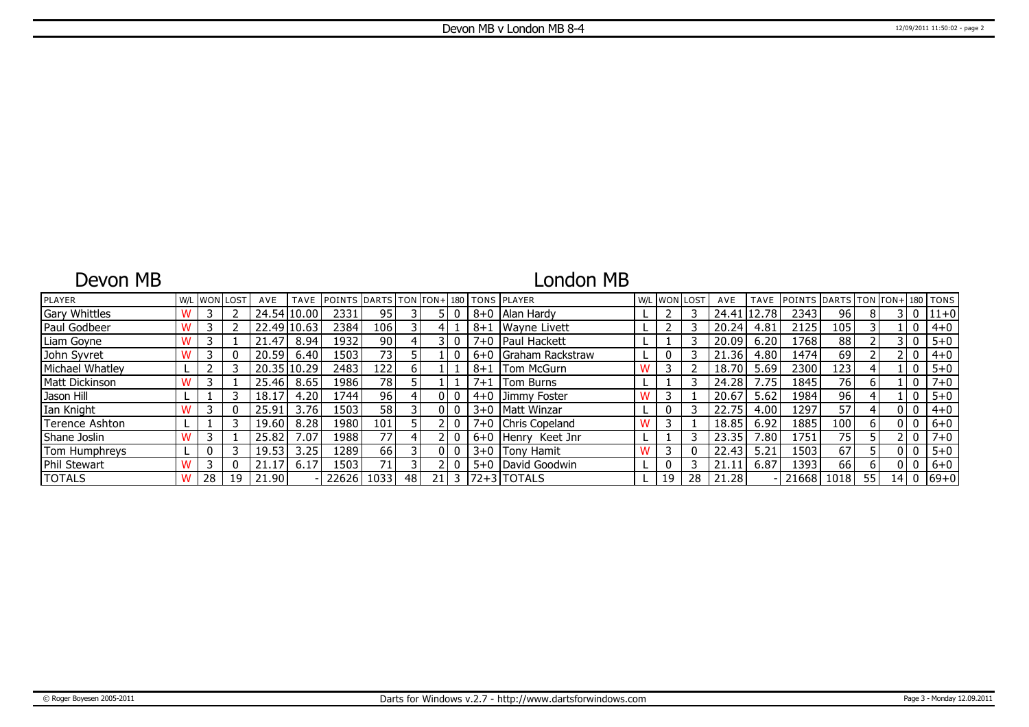### Devon MB

# London MB

| <b>PLAYER</b>        |    | <b>W/L WON LOST</b> | AVE   | <b>TAVE</b> | POINTS DARTS TON TON+180 TONS PLAYER |                 |              |    |         |                      | W/L WON LOST |    | AVE   | TAVE  | POINTS DARTS TON TON+ 180 TONS |      |    |                 |              |           |
|----------------------|----|---------------------|-------|-------------|--------------------------------------|-----------------|--------------|----|---------|----------------------|--------------|----|-------|-------|--------------------------------|------|----|-----------------|--------------|-----------|
| <b>Gary Whittles</b> |    |                     |       | 24.54 10.00 | 2331                                 | 95              |              |    | $8 + 0$ | <b>IAlan Hardy</b>   |              |    | 24.41 | 12.78 | 2343                           | 96   | 8  |                 | 0            | 11+0      |
| Paul Godbeer         |    |                     |       | 22.49 10.63 | 2384                                 | 106             |              |    | $8 + 1$ | <b>IWavne Livett</b> |              |    | 20.24 | 4.81  | 2125                           | 105  |    |                 | 0            | $4 + 0$   |
| Liam Goyne           |    |                     | 21.47 | 8.94        | 1932                                 | 90 <sub>1</sub> |              |    |         | 7+0   Paul Hackett   |              |    | 20.09 | 6.20  | 1768                           | 88   |    |                 | 0            | $5 + 0$   |
| John Syvret          |    |                     | 20.59 | 6.40        | 1503 <sub>1</sub>                    | 73 <sub>1</sub> |              |    |         | 6+0 Graham Rackstraw |              |    | 21.36 | 4.80  | 1474                           | 69   |    |                 | $\mathbf{0}$ | $4 + 0$   |
| Michael Whatley      |    |                     |       | 20.35 10.29 | 2483                                 | 122             | <sub>6</sub> |    | $8 + 1$ | <b>Tom McGurn</b>    |              |    | 18.70 | 5.69  | 2300                           | 123  |    |                 | 0            | $5 + 0$   |
| Matt Dickinson       |    |                     | 25.46 | 8.65        | 1986                                 | 78              |              |    | 7+1     | <b>Tom Burns</b>     |              |    | 24.28 | 7.75  | 1845                           | 76   | 6  |                 | 0            | $7 + 0$   |
| Jason Hill           |    |                     | 18.17 | 4.20        | 744                                  | 96              |              | ΩI | $4 + 0$ | Jimmy Foster         |              |    | 20.67 | 5.62  | 1984                           | 96   |    |                 | 0            | $5 + 0$   |
| Ian Knight           |    |                     | 25.91 | 3.76        | 1503                                 | 58              |              | 01 |         | 3+0   Matt Winzar    |              |    | 22.75 | 4.00  | 1297                           | 57   |    |                 | 0            | $4 + 0$   |
| Terence Ashton       |    |                     | 19.60 | 8.28        | 1980                                 | 101             |              |    |         | 7+0 Chris Copeland   |              |    | 18.85 | 6.92  | 1885                           | 100  | 6  |                 | 0            | $6 + 0$   |
| Shane Joslin         |    |                     | 25.82 | .07         | 1988                                 | 77 <sub>1</sub> |              |    |         | 6+0 Henry Keet Jnr   |              |    | 23.35 | .80   | 1751                           | 75   |    |                 | $\mathbf{0}$ | $7 + 0$   |
| Tom Humphreys        |    |                     | 19.53 | 3.25        | 1289                                 | 66              |              | 01 |         | 3+0 Tony Hamit       |              |    | 22.43 | 5.21  | 1503                           | 67   |    |                 | 0            | $5 + 0$   |
| Phil Stewart         |    |                     | 21.17 | 6.17        | 1503                                 | 71 <sub>1</sub> |              |    | $5 + 0$ | David Goodwin        |              |    | 21.11 | 6.87  | 1393                           | 66   | 6  |                 | 0            | $6+0$     |
| <b>TOTALS</b>        | 28 | 19                  | 21.90 |             | 22626                                | 1033            | 48           | 21 |         | 3 172+31TOTALS       | 19           | 28 | 21.28 |       | 21668                          | 1018 | 55 | 14 <sub>1</sub> |              | $0 69+0 $ |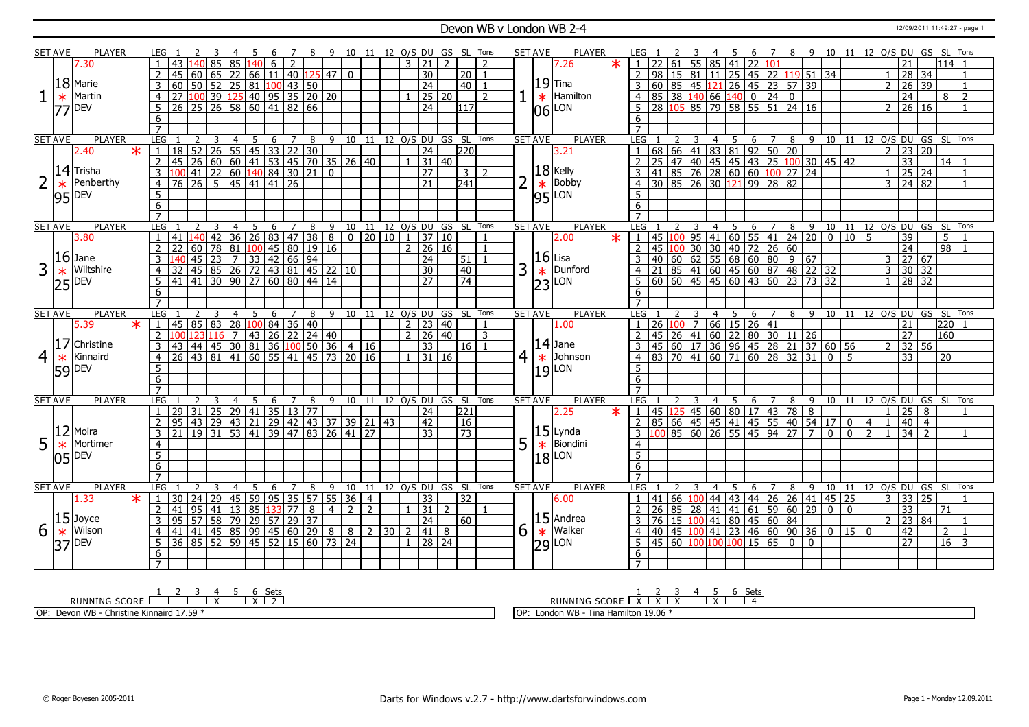#### **Devon WB v London WB 2-4** 12/09/2011 11:49:27 - page 1

|                | <b>SET AVE</b> | PLAYER                    |                 |                                                                                                      |                                                                                                                   |                   |                 |     |                  |                |                 |                         |                |                |                 |               |                                  |                | 8 9 10 11 12 O/S DU GS SL Tons |                | <b>SET AVE</b> |                 | PLAYER                                               |                |                              |                    |                 |                |    | - 6 |                                      |                                                       |          | 7 8 9 10 11 12 O/S DU GS SL Tons                                                                                                                                                                                       |                |                |                |                 |                     |                 |                                  |                |
|----------------|----------------|---------------------------|-----------------|------------------------------------------------------------------------------------------------------|-------------------------------------------------------------------------------------------------------------------|-------------------|-----------------|-----|------------------|----------------|-----------------|-------------------------|----------------|----------------|-----------------|---------------|----------------------------------|----------------|--------------------------------|----------------|----------------|-----------------|------------------------------------------------------|----------------|------------------------------|--------------------|-----------------|----------------|----|-----|--------------------------------------|-------------------------------------------------------|----------|------------------------------------------------------------------------------------------------------------------------------------------------------------------------------------------------------------------------|----------------|----------------|----------------|-----------------|---------------------|-----------------|----------------------------------|----------------|
|                |                | 7.30                      |                 | 43                                                                                                   |                                                                                                                   | 85                | 85              |     | 6                | 2              |                 |                         |                |                |                 | $\mathcal{R}$ | $\overline{21}$                  | $\mathcal{D}$  |                                | $\overline{z}$ |                |                 | 7.26                                                 |                | $1 \overline{22}$            | 161                | 55              | $85 - 41$      |    |     | 22 101                               |                                                       |          |                                                                                                                                                                                                                        |                |                |                |                 |                     |                 | $114$ 1                          |                |
|                |                |                           | 2               | 45                                                                                                   | 60   65                                                                                                           |                   | 22              | 66  | 11   40          |                |                 | $125$ 47                | $\overline{0}$ |                |                 |               | $\overline{30}$                  |                | l 20 l                         | $\overline{1}$ |                |                 |                                                      |                |                              |                    |                 |                |    |     | 2   98   15   81   11   25   45   22 |                                                       |          | 119 51 34                                                                                                                                                                                                              |                |                | $\mathbf{1}$   |                 | $28 \overline{)34}$ |                 |                                  | $\overline{1}$ |
|                |                | $18$ Marie                |                 |                                                                                                      |                                                                                                                   |                   |                 |     |                  |                |                 |                         |                |                |                 |               | $\overline{24}$                  |                |                                |                |                |                 | $19$ Tina                                            |                |                              |                    |                 |                |    |     |                                      |                                                       |          |                                                                                                                                                                                                                        |                |                | $\overline{2}$ |                 | $26 \overline{)39}$ |                 |                                  |                |
|                |                |                           | $\overline{3}$  |                                                                                                      | $60$ 50 52                                                                                                        |                   |                 |     | 25 81 100 43 50  |                |                 |                         |                |                |                 |               |                                  |                | 40                             |                |                |                 |                                                      |                |                              |                    |                 |                |    |     |                                      | 60 85 45 121 26 45 23 57 39                           |          |                                                                                                                                                                                                                        |                |                |                |                 |                     |                 |                                  |                |
|                | $\ast$         | Martin                    | $\overline{4}$  |                                                                                                      | 27 100 39 125 40 95 35 20 20<br>26 25 26 58 60 41 82 66                                                           |                   |                 |     |                  |                |                 |                         |                |                |                 |               |                                  | 25 20          |                                | $\overline{2}$ |                | $\ast$          | Hamilton                                             |                | $85$ 38 140 66 140 0         |                    |                 |                |    |     | $\sqrt{24}$                          | $\mathbf{0}$                                          |          |                                                                                                                                                                                                                        |                |                |                | 24              |                     |                 | 8                                | $\overline{2}$ |
|                | 177            | DEV                       | 5               |                                                                                                      |                                                                                                                   |                   |                 |     |                  |                |                 |                         |                |                |                 |               | $\overline{24}$                  |                | 1117                           |                |                | 06              | LON                                                  | 5              |                              |                    |                 |                |    |     |                                      | 28 105 85 79 58 55 51 24 16                           |          |                                                                                                                                                                                                                        |                |                | $2^{\circ}$    |                 | 26 16               |                 |                                  |                |
|                |                |                           | 6               |                                                                                                      |                                                                                                                   |                   |                 |     |                  |                |                 |                         |                |                |                 |               |                                  |                |                                |                |                |                 |                                                      | 6              |                              |                    |                 |                |    |     |                                      |                                                       |          |                                                                                                                                                                                                                        |                |                |                |                 |                     |                 |                                  |                |
|                |                |                           | $\overline{7}$  |                                                                                                      |                                                                                                                   |                   |                 |     |                  |                |                 |                         |                |                |                 |               |                                  |                |                                |                |                |                 |                                                      |                |                              |                    |                 |                |    |     |                                      |                                                       |          |                                                                                                                                                                                                                        |                |                |                |                 |                     |                 |                                  |                |
|                | <b>SET AVE</b> | <b>PLAYER</b>             | LEG             |                                                                                                      | 2                                                                                                                 | 3                 | $\overline{4}$  | 5   | 6                | $\overline{7}$ | 8               | 9                       |                |                |                 |               |                                  |                | 10 11 12 O/S DU GS SL Tons     |                | <b>SET AVE</b> |                 | <b>PLAYER</b>                                        | LEG            |                              |                    |                 | $\overline{4}$ | 5  |     | 6 7                                  |                                                       |          | 8 9 10 11 12 0/S DU GS SL Tons                                                                                                                                                                                         |                |                |                |                 |                     |                 |                                  |                |
|                |                | $\overline{\ast}$<br>2.40 | $\mathbf{1}$    |                                                                                                      | 18 52 26 55 45 33 22 30<br>45 26 60 60 41 53 45 70 35 26 40<br>100 41 22 60 140 84 30 21 0<br>76 26 5 45 41 41 26 |                   |                 |     |                  |                |                 |                         |                |                |                 |               | $\overline{24}$                  |                | 220                            |                |                |                 | 3.21                                                 |                |                              |                    |                 |                |    |     |                                      |                                                       |          | $\begin{array}{ c c c c c c c c c c c } \hline 1&68&66&41&83&81&92&50&20\\ \hline 2&25&47&40&45&45&43&25&100&30&45&42\\ \hline 3&41&85&76&28&60&60&100&27&24\\ \hline 4&30&85&26&30&121&99&28&82\\ \hline \end{array}$ |                |                | $\overline{2}$ |                 | 23 20               |                 |                                  |                |
|                |                |                           | $\overline{2}$  |                                                                                                      |                                                                                                                   |                   |                 |     |                  |                |                 |                         |                |                |                 |               | $1 \overline{)31 \overline{)40}$ |                |                                |                |                |                 |                                                      |                |                              |                    |                 |                |    |     |                                      |                                                       |          |                                                                                                                                                                                                                        |                |                |                | $\overline{33}$ |                     |                 | $\overline{14}$ 1                |                |
|                |                | $ 14 $ Trisha             | $\overline{3}$  |                                                                                                      |                                                                                                                   |                   |                 |     |                  |                |                 |                         |                |                |                 |               | $\overline{27}$                  |                | 3 <sup>1</sup>                 | $\overline{2}$ |                |                 |                                                      |                |                              |                    |                 |                |    |     |                                      |                                                       |          |                                                                                                                                                                                                                        |                |                | $\mathbf{1}$   |                 | $25 \overline{)24}$ |                 |                                  |                |
|                | $\ast$         | Penberthy                 | $\overline{4}$  |                                                                                                      |                                                                                                                   |                   |                 |     |                  |                |                 |                         |                |                |                 |               | $\overline{21}$                  |                | $\sqrt{241}$                   |                | $\overline{2}$ |                 | $\left  \frac{18}{18} \right $ Relly                 |                |                              |                    |                 |                |    |     |                                      |                                                       |          |                                                                                                                                                                                                                        |                |                | 3              |                 | 24 82               |                 |                                  |                |
|                | 95             | <b>DEV</b>                | 5               |                                                                                                      |                                                                                                                   |                   |                 |     |                  |                |                 |                         |                |                |                 |               |                                  |                |                                |                |                |                 | $\frac{1}{95}$ Bobb                                  | -5             |                              |                    |                 |                |    |     |                                      |                                                       |          |                                                                                                                                                                                                                        |                |                |                |                 |                     |                 |                                  |                |
|                |                |                           | 6               |                                                                                                      |                                                                                                                   |                   |                 |     |                  |                |                 |                         |                |                |                 |               |                                  |                |                                |                |                |                 |                                                      | 6              |                              |                    |                 |                |    |     |                                      |                                                       |          |                                                                                                                                                                                                                        |                |                |                |                 |                     |                 |                                  |                |
|                |                |                           | $\overline{7}$  |                                                                                                      |                                                                                                                   |                   |                 |     |                  |                |                 |                         |                |                |                 |               |                                  |                |                                |                |                |                 |                                                      | $\overline{7}$ |                              |                    |                 |                |    |     |                                      |                                                       |          |                                                                                                                                                                                                                        |                |                |                |                 |                     |                 |                                  |                |
|                | <b>SET AVE</b> | <b>PLAYER</b>             |                 | LEG 1                                                                                                |                                                                                                                   | 3                 | $\overline{4}$  | - 5 | 6                | $\overline{7}$ | $\overline{8}$  |                         |                |                |                 |               |                                  |                | 9 10 11 12 0/S DU GS SL Tons   |                | <b>SET AVE</b> |                 | <b>PLAYER</b>                                        | LEG            |                              |                    |                 | $\overline{4}$ | 5  | 6   |                                      |                                                       |          | 7 8 9 10 11 12 O/S DU GS SL Tons                                                                                                                                                                                       |                |                |                |                 |                     |                 |                                  |                |
|                |                | 3.80                      | $\overline{1}$  | l 41                                                                                                 | 140                                                                                                               | 42                | $\overline{36}$ |     | 26 83 47         |                | $\overline{38}$ | $\overline{8}$          |                |                |                 |               | $0$ 20 10 1 37 10                |                |                                |                |                |                 | 2.00<br>$\ast$                                       |                | 1   45   100                 |                    | $\overline{95}$ |                |    |     |                                      |                                                       |          | $141 \mid 60 \mid 55 \mid 41 \mid 24 \mid 20 \mid 0 \mid 10 \mid 5$                                                                                                                                                    |                |                |                | 39              |                     |                 | 5                                |                |
|                |                |                           |                 |                                                                                                      | 60                                                                                                                | $\overline{78}$   | $ 81\rangle$    |     | $100$ 45 80      |                | $\overline{19}$ | 16                      |                |                |                 |               | 2   26   16                      |                |                                |                |                |                 |                                                      | 2              | 45 100                       |                    |                 |                |    |     |                                      |                                                       |          |                                                                                                                                                                                                                        |                |                |                | $\overline{24}$ |                     |                 | $\overline{98}$                  |                |
|                |                | $ 16 $ Jane               |                 |                                                                                                      |                                                                                                                   |                   |                 |     |                  |                |                 |                         |                |                |                 |               | $\overline{24}$                  |                | 51                             |                |                |                 | $ 16 $ Lisa                                          |                |                              |                    |                 |                |    |     |                                      | 45 100 30 30 40 72 26 60<br>40 60 62 55 68 60 80 9 67 |          |                                                                                                                                                                                                                        |                |                | $\mathsf{3}$   |                 | 27 67               |                 |                                  |                |
| 3              | $\ast$         | Wiltshire                 | $\overline{4}$  | 32                                                                                                   |                                                                                                                   |                   |                 |     |                  |                |                 |                         |                |                |                 |               | $\overline{30}$                  |                | 40                             |                | 3              | $\ast$          | Dunford                                              |                |                              |                    |                 |                |    |     |                                      |                                                       |          |                                                                                                                                                                                                                        |                |                | $\overline{3}$ |                 | $30 \mid 32$        |                 |                                  |                |
|                |                | <b>DEV</b>                | 5               | 41                                                                                                   | 45 23 7 33 42 66 94<br>45 85 26 72 43 81 45 22 10<br>41 30 90 27 60 80 44 14                                      |                   |                 |     |                  |                |                 |                         |                |                |                 |               | 27                               |                | $\overline{74}$                |                |                |                 | LON                                                  |                |                              |                    |                 |                |    |     |                                      |                                                       |          | 4 21 85 41 60 45 60 87 48 22 32<br>5 60 60 45 45 60 43 60 23 73 32                                                                                                                                                     |                |                | $\mathbf{1}$   |                 | $\frac{1}{28}$ 32   |                 |                                  |                |
|                | 25             |                           | 6               |                                                                                                      |                                                                                                                   |                   |                 |     |                  |                |                 |                         |                |                |                 |               |                                  |                |                                |                |                | 23              |                                                      | 6              |                              |                    |                 |                |    |     |                                      |                                                       |          |                                                                                                                                                                                                                        |                |                |                |                 |                     |                 |                                  |                |
|                |                |                           | $\overline{7}$  |                                                                                                      |                                                                                                                   |                   |                 |     |                  |                |                 |                         |                |                |                 |               |                                  |                |                                |                |                |                 |                                                      | $\overline{7}$ |                              |                    |                 |                |    |     |                                      |                                                       |          |                                                                                                                                                                                                                        |                |                |                |                 |                     |                 |                                  |                |
|                | <b>SET AVE</b> | <b>PLAYER</b>             | <b>LEG</b>      |                                                                                                      |                                                                                                                   |                   | 4               |     | 6                |                | 8               | 9                       | 10             | -11            | 12 <sup>7</sup> |               | O/S DU                           |                | GS SL                          | Tons           | <b>SET AVE</b> |                 | <b>PLAYER</b>                                        | LEG            |                              |                    |                 | 4              |    | 6   |                                      | 8                                                     | -9       | 10                                                                                                                                                                                                                     | - 11           |                |                |                 | 12 0/S DU GS SL     |                 |                                  | Tons           |
|                |                |                           |                 |                                                                                                      |                                                                                                                   |                   |                 |     |                  |                |                 |                         |                |                |                 |               |                                  |                |                                | $\overline{1}$ |                |                 |                                                      |                |                              | $1 \ 26 \ 100 \ 7$ |                 |                |    |     |                                      |                                                       |          |                                                                                                                                                                                                                        |                |                |                | 21              |                     |                 | 220                              |                |
|                |                |                           |                 |                                                                                                      |                                                                                                                   |                   |                 |     |                  |                |                 |                         |                |                |                 |               |                                  |                |                                |                |                |                 |                                                      |                |                              |                    |                 |                |    |     |                                      |                                                       |          |                                                                                                                                                                                                                        |                |                |                |                 |                     |                 |                                  |                |
|                |                | 5.39<br>$\star$           | $\overline{1}$  | $\sqrt{45}$ 85 83                                                                                    |                                                                                                                   |                   | 28              |     |                  | 100 84 36 40   |                 |                         |                |                |                 |               | $2 \mid 23 \mid 40$              |                |                                |                |                |                 | 1.00                                                 |                |                              |                    |                 |                |    |     | $66$ 15 26 41                        |                                                       |          |                                                                                                                                                                                                                        |                |                |                |                 |                     |                 |                                  |                |
|                |                |                           | $\overline{2}$  |                                                                                                      |                                                                                                                   |                   |                 |     |                  |                |                 |                         |                |                |                 |               | $2 \mid 26 \mid 40$              |                |                                | $\mathbf{R}$   |                |                 |                                                      |                |                              |                    |                 |                |    |     |                                      |                                                       |          |                                                                                                                                                                                                                        |                |                |                | $\overline{27}$ |                     | 160             |                                  |                |
|                |                | Christine                 | $\overline{3}$  |                                                                                                      |                                                                                                                   |                   |                 |     |                  |                |                 |                         |                |                |                 |               | $\overline{33}$                  |                | $16$   1                       |                |                |                 | $14$ Jane                                            |                |                              |                    |                 |                |    |     |                                      |                                                       |          |                                                                                                                                                                                                                        |                |                | $\mathcal{P}$  | 32              | 56                  |                 |                                  |                |
| $\overline{4}$ | $\ast$         | Kinnaird                  | $\overline{4}$  | 100 123 116 7 43 26 22 24 40<br>43 44 45 30 81 36 100 50 36 4 16<br>26 43 81 41 60 55 41 45 73 20 16 |                                                                                                                   |                   |                 |     |                  |                |                 |                         |                |                |                 |               | $1 \overline{)31 \overline{)16}$ |                |                                |                | 4              | $\ast$          | Johnson                                              |                |                              |                    |                 |                |    |     |                                      |                                                       |          | 2 45 26 41 60 22 80 30 11 26<br>3 45 60 17 36 96 45 28 21 37 60 56<br>4 83 70 41 60 71 60 28 32 31 0 5                                                                                                                 |                |                |                | $\overline{33}$ |                     | $\overline{20}$ |                                  |                |
|                |                | 59 DEV                    | $5\overline{)}$ |                                                                                                      |                                                                                                                   |                   |                 |     |                  |                |                 |                         |                |                |                 |               |                                  |                |                                |                |                |                 | LON<br>19                                            | 5              |                              |                    |                 |                |    |     |                                      |                                                       |          |                                                                                                                                                                                                                        |                |                |                |                 |                     |                 |                                  |                |
|                |                |                           | $6\overline{6}$ |                                                                                                      |                                                                                                                   |                   |                 |     |                  |                |                 |                         |                |                |                 |               |                                  |                |                                |                |                |                 |                                                      | 6              |                              |                    |                 |                |    |     |                                      |                                                       |          |                                                                                                                                                                                                                        |                |                |                |                 |                     |                 |                                  |                |
|                |                |                           | $\overline{7}$  |                                                                                                      |                                                                                                                   |                   |                 |     |                  |                |                 |                         |                |                |                 |               |                                  |                |                                |                |                |                 |                                                      |                |                              |                    |                 |                |    |     |                                      |                                                       |          |                                                                                                                                                                                                                        |                |                |                |                 |                     |                 |                                  |                |
|                | <b>SET AVE</b> | PLAYER                    | LEG             |                                                                                                      | $\overline{z}$                                                                                                    | 3                 | $\overline{4}$  | -5  | 6                | $\overline{7}$ | 8               | 9                       |                |                |                 |               |                                  |                | 10 11 12 0/S DU GS SL Tons     |                | SET AVE        |                 | PLAYER                                               | <b>LEG</b>     |                              |                    | 3               | 4 <sub>5</sub> |    | 6   | $\overline{7}$                       |                                                       |          | 8 9 10 11 12 0/S DU GS SL Tons                                                                                                                                                                                         |                |                |                |                 |                     |                 |                                  |                |
|                |                |                           | $\overline{1}$  | 29                                                                                                   | $ 31\rangle$                                                                                                      | 25                |                 |     | $29$ 41 35 13 77 |                |                 |                         |                |                |                 |               | $\overline{24}$                  |                | 221                            |                |                |                 | 2.25                                                 |                |                              |                    |                 |                |    |     |                                      | $1   45   125   45   60   80   17   43   78   8$      |          |                                                                                                                                                                                                                        |                |                |                | 25              | 8                   |                 |                                  |                |
|                |                |                           |                 | 95                                                                                                   | $ 43\rangle$                                                                                                      | 29 43             |                 |     |                  |                |                 | 21 29 42 43 37 39 21 43 |                |                |                 |               | 42                               |                | 16                             |                |                |                 |                                                      |                |                              |                    |                 |                |    |     |                                      | 85 66 45 45 41 45 55 40                               |          | $54$ 17 0                                                                                                                                                                                                              |                | $\overline{4}$ |                | 40              | $\overline{4}$      |                 |                                  |                |
|                | 12             | Moira                     | $\overline{3}$  |                                                                                                      | 21 19 31 53 41 39 47 83 26 41 27                                                                                  |                   |                 |     |                  |                |                 |                         |                |                |                 |               | $\overline{33}$                  |                | $\overline{73}$                |                |                |                 | $15$ Lynda                                           |                |                              |                    |                 |                |    |     |                                      |                                                       |          | $3  100  85  60  26  55  45  94  27  7  0$                                                                                                                                                                             | $\overline{0}$ | $\overline{2}$ | $\mathbf{1}$   |                 | $34 \mid 2$         |                 |                                  |                |
| 5              | $\ast$         | Mortimer                  | $\overline{4}$  |                                                                                                      |                                                                                                                   |                   |                 |     |                  |                |                 |                         |                |                |                 |               |                                  |                |                                |                | 5              | $\ast$          | Biondini                                             | $\overline{4}$ |                              |                    |                 |                |    |     |                                      |                                                       |          |                                                                                                                                                                                                                        |                |                |                |                 |                     |                 |                                  |                |
|                |                | <b>DEV</b>                | 5               |                                                                                                      |                                                                                                                   |                   |                 |     |                  |                |                 |                         |                |                |                 |               |                                  |                |                                |                |                |                 | LON                                                  | $\overline{5}$ |                              |                    |                 |                |    |     |                                      |                                                       |          |                                                                                                                                                                                                                        |                |                |                |                 |                     |                 |                                  |                |
|                |                |                           | 6               |                                                                                                      |                                                                                                                   |                   |                 |     |                  |                |                 |                         |                |                |                 |               |                                  |                |                                |                |                | 18 <sup>l</sup> |                                                      | 6              |                              |                    |                 |                |    |     |                                      |                                                       |          |                                                                                                                                                                                                                        |                |                |                |                 |                     |                 |                                  |                |
|                |                |                           | $\overline{7}$  |                                                                                                      |                                                                                                                   |                   |                 |     |                  |                |                 |                         |                |                |                 |               |                                  |                |                                |                |                |                 |                                                      | $\overline{7}$ |                              |                    |                 |                |    |     |                                      |                                                       |          |                                                                                                                                                                                                                        |                |                |                |                 |                     |                 |                                  |                |
|                | <b>SET AVE</b> | PLAYER                    | LEG             |                                                                                                      | $\mathcal{L}$                                                                                                     | 3                 | $\overline{4}$  | -5  | 6                | 7              | 8               | 9                       | 10             |                |                 |               |                                  |                | 11 12 0/S DU GS SL Tons        |                | <b>SET AVE</b> |                 | PLAYER                                               | LEG            |                              |                    |                 |                | -5 | 6   | $\overline{z}$                       | 8                                                     |          | 9 10 11 12 0/S DU GS SL                                                                                                                                                                                                |                |                |                |                 |                     |                 |                                  | Tons           |
|                |                | $\star$<br>1.33           | $\vert 1 \vert$ | 30                                                                                                   | $\overline{24}$                                                                                                   | 29                | 45              | 59  | 95 35            |                | 57              | $55 \mid 36$            |                | $\overline{4}$ |                 |               | $\overline{33}$                  |                | $\overline{32}$                |                |                |                 | 6.00                                                 |                | $1 \mid 41 \mid 66 \mid 100$ |                    |                 |                |    |     |                                      |                                                       |          | 44 43 44 26 26 41 45 25                                                                                                                                                                                                |                |                | 3              | 33              | $\overline{25}$     |                 |                                  |                |
|                |                |                           | 2               | $\overline{41}$                                                                                      | $95 \mid 41$                                                                                                      |                   | $\overline{13}$ |     | 85 133 77        |                | $\overline{8}$  | $\overline{4}$          | $\overline{2}$ | $\overline{2}$ |                 |               | $\overline{31}$                  | $\overline{2}$ |                                |                |                |                 |                                                      |                | $2 \overline{26}$            |                    |                 |                |    |     |                                      |                                                       |          | $85   28   41   41   61   59   60   29   0   0$                                                                                                                                                                        |                |                |                | 33              |                     | 71              |                                  |                |
|                |                | $15$ Joyce                | $\overline{3}$  | $\overline{95}$                                                                                      | 57 58 79 29 57 29                                                                                                 |                   |                 |     |                  |                | $\overline{37}$ |                         |                |                |                 |               | $\overline{24}$                  |                | 60                             |                |                |                 | $ 15 $ Andrea                                        |                |                              |                    |                 |                |    |     |                                      | 3 76 15 100 41 80 45 60 84                            |          |                                                                                                                                                                                                                        |                |                | $2^{\circ}$    |                 | 23 84               |                 |                                  |                |
|                |                | Wilson                    | $\overline{4}$  | 41                                                                                                   | $\overline{41}$                                                                                                   |                   |                 |     |                  |                |                 | 8 8 2 30                |                |                |                 | $\mathcal{D}$ | $\overline{41}$                  | 8              |                                |                |                |                 | Walker                                               |                |                              |                    |                 |                |    |     |                                      |                                                       |          | $4   40   45   100   41   23   46   60   90   36   0   15   0$                                                                                                                                                         |                |                |                | 42              |                     |                 | $\overline{2}$<br>$\overline{1}$ |                |
| 6              | $\ast$         | <b>DEV</b>                | 5               |                                                                                                      | 36 85 52 59 45 52 15 60 73 24                                                                                     | 45 85 99 45 60 29 |                 |     |                  |                |                 |                         |                |                |                 |               | $1 \mid 28 \mid 24$              |                |                                |                | 6              |                 |                                                      |                |                              |                    |                 |                |    |     |                                      | $5   45   60   100   100   100   15   65   0$         | $\Omega$ |                                                                                                                                                                                                                        |                |                |                | $\overline{27}$ |                     |                 | $16 \mid 3$                      |                |
|                | 37             |                           | 6               |                                                                                                      |                                                                                                                   |                   |                 |     |                  |                |                 |                         |                |                |                 |               |                                  |                |                                |                |                |                 | $\begin{bmatrix} 1 \\ 1 \\ 2 \\ 9 \end{bmatrix}$ LON | 6              |                              |                    |                 |                |    |     |                                      |                                                       |          |                                                                                                                                                                                                                        |                |                |                |                 |                     |                 |                                  |                |

RUNNING SCORE 1 2 3 4 X 5 6 X Sets 2 OP: Devon WB - Christine Kinnaird 17.59 \*

RUNNING SCORE 1 X 2 X 3 X 4 5 X 6 Sets 4

OP: London WB - Tina Hamilton 19.06 \*